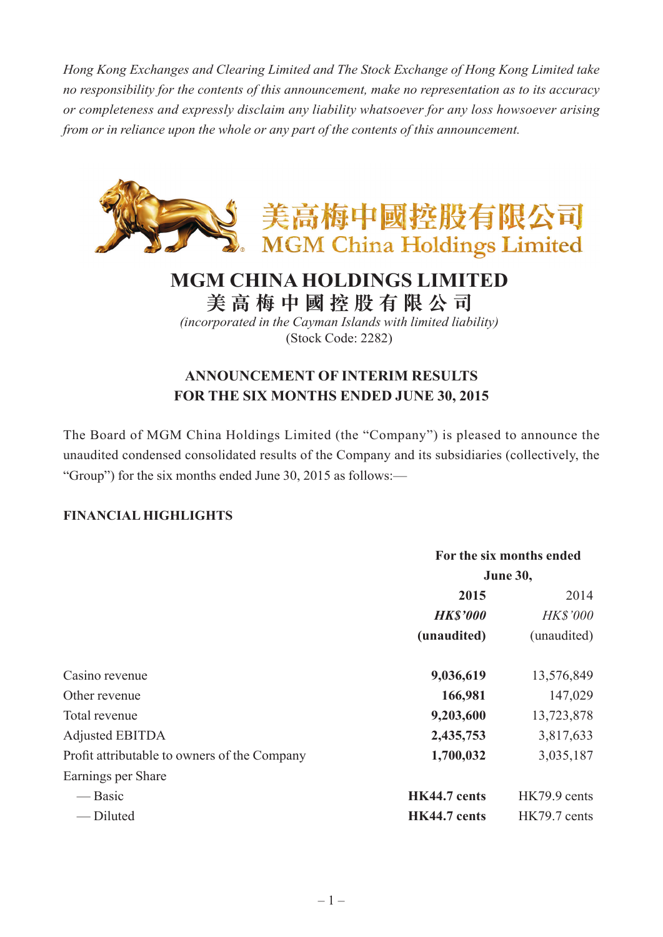*Hong Kong Exchanges and Clearing Limited and The Stock Exchange of Hong Kong Limited take no responsibility for the contents of this announcement, make no representation as to its accuracy or completeness and expressly disclaim any liability whatsoever for any loss howsoever arising from or in reliance upon the whole or any part of the contents of this announcement.*



# **MGM CHINA HOLDINGS LIMITED**

**美 高 梅 中 國 控 股 有 限 公 司**

*(incorporated in the Cayman Islands with limited liability)* (Stock Code: 2282)

## **ANNOUNCEMENT OF INTERIM RESULTS FOR THE SIX MONTHS ENDED JUNE 30, 2015**

The Board of MGM China Holdings Limited (the "Company") is pleased to announce the unaudited condensed consolidated results of the Company and its subsidiaries (collectively, the "Group") for the six months ended June 30, 2015 as follows:—

### **FINANCIAL HIGHLIGHTS**

|                                              | For the six months ended |                 |
|----------------------------------------------|--------------------------|-----------------|
|                                              | <b>June 30,</b>          |                 |
|                                              | 2015                     | 2014            |
|                                              | <b>HK\$'000</b>          | <b>HK\$'000</b> |
|                                              | (unaudited)              | (unaudited)     |
| Casino revenue                               | 9,036,619                | 13,576,849      |
| Other revenue                                | 166,981                  | 147,029         |
| Total revenue                                | 9,203,600                | 13,723,878      |
| <b>Adjusted EBITDA</b>                       | 2,435,753                | 3,817,633       |
| Profit attributable to owners of the Company | 1,700,032                | 3,035,187       |
| Earnings per Share                           |                          |                 |
| — Basic                                      | HK44.7 cents             | HK79.9 cents    |
| -Diluted                                     | <b>HK44.7</b> cents      | HK79.7 cents    |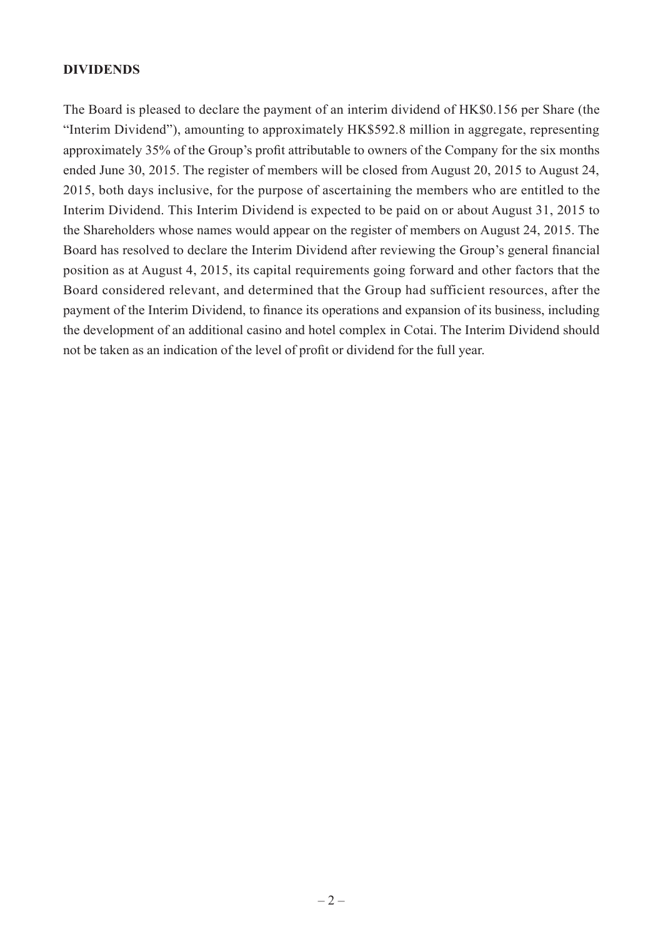#### **DIVIDENDS**

The Board is pleased to declare the payment of an interim dividend of HK\$0.156 per Share (the "Interim Dividend"), amounting to approximately HK\$592.8 million in aggregate, representing approximately 35% of the Group's profit attributable to owners of the Company for the six months ended June 30, 2015. The register of members will be closed from August 20, 2015 to August 24, 2015, both days inclusive, for the purpose of ascertaining the members who are entitled to the Interim Dividend. This Interim Dividend is expected to be paid on or about August 31, 2015 to the Shareholders whose names would appear on the register of members on August 24, 2015. The Board has resolved to declare the Interim Dividend after reviewing the Group's general financial position as at August 4, 2015, its capital requirements going forward and other factors that the Board considered relevant, and determined that the Group had sufficient resources, after the payment of the Interim Dividend, to finance its operations and expansion of its business, including the development of an additional casino and hotel complex in Cotai. The Interim Dividend should not be taken as an indication of the level of profit or dividend for the full year.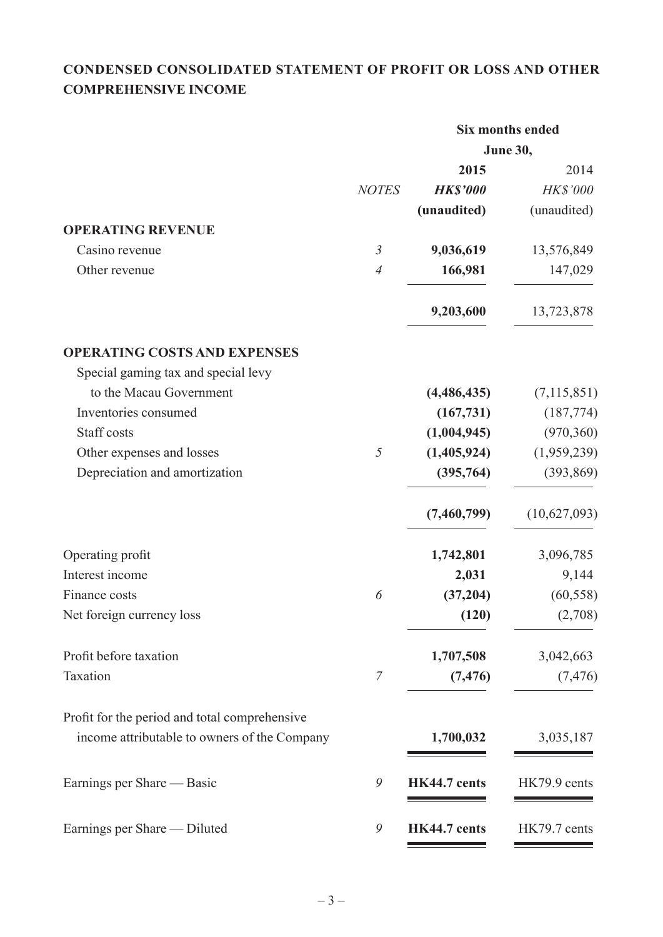## **CONDENSED CONSOLIDATED STATEMENT OF PROFIT OR LOSS AND OTHER COMPREHENSIVE INCOME**

|                                               |                |                 | <b>Six months ended</b> |
|-----------------------------------------------|----------------|-----------------|-------------------------|
|                                               |                |                 | June 30,                |
|                                               | <b>NOTES</b>   | 2015            | 2014<br><b>HK\$'000</b> |
|                                               |                | <b>HK\$'000</b> |                         |
| <b>OPERATING REVENUE</b>                      |                | (unaudited)     | (unaudited)             |
| Casino revenue                                | $\mathfrak{Z}$ | 9,036,619       | 13,576,849              |
| Other revenue                                 | $\overline{A}$ | 166,981         |                         |
|                                               |                |                 | 147,029                 |
|                                               |                | 9,203,600       | 13,723,878              |
| <b>OPERATING COSTS AND EXPENSES</b>           |                |                 |                         |
| Special gaming tax and special levy           |                |                 |                         |
| to the Macau Government                       |                | (4,486,435)     | (7, 115, 851)           |
| Inventories consumed                          |                | (167, 731)      | (187, 774)              |
| Staff costs                                   |                | (1,004,945)     | (970, 360)              |
| Other expenses and losses                     | $\mathfrak{I}$ | (1,405,924)     | (1,959,239)             |
| Depreciation and amortization                 |                | (395,764)       | (393, 869)              |
|                                               |                | (7,460,799)     | (10,627,093)            |
| Operating profit                              |                | 1,742,801       | 3,096,785               |
| Interest income                               |                | 2,031           | 9,144                   |
| Finance costs                                 | 6              | (37,204)        | (60, 558)               |
| Net foreign currency loss                     |                | (120)           | (2,708)                 |
| Profit before taxation                        |                | 1,707,508       | 3,042,663               |
| Taxation                                      | $\overline{7}$ | (7, 476)        | (7, 476)                |
| Profit for the period and total comprehensive |                |                 |                         |
| income attributable to owners of the Company  |                | 1,700,032       | 3,035,187               |
| Earnings per Share — Basic                    | 9              | HK44.7 cents    | HK79.9 cents            |
| Earnings per Share - Diluted                  | 9              | HK44.7 cents    | HK79.7 cents            |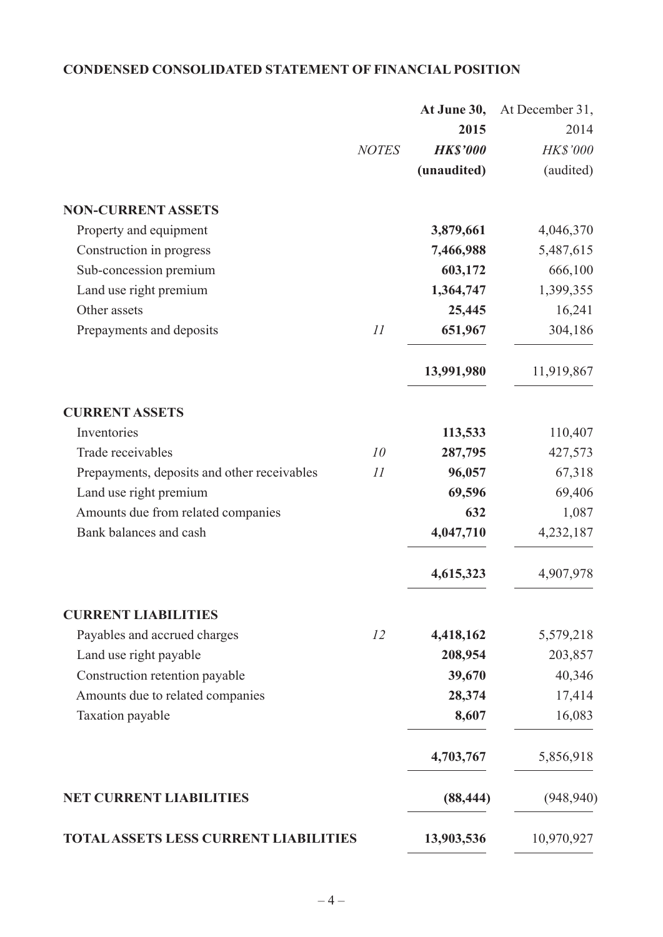## **CONDENSED CONSOLIDATED STATEMENT OF FINANCIAL POSITION**

|                                              |              | At June 30,     | At December 31, |
|----------------------------------------------|--------------|-----------------|-----------------|
|                                              |              | 2015            | 2014            |
|                                              | <b>NOTES</b> | <b>HK\$'000</b> | HK\$'000        |
|                                              |              | (unaudited)     | (audited)       |
| <b>NON-CURRENT ASSETS</b>                    |              |                 |                 |
| Property and equipment                       |              | 3,879,661       | 4,046,370       |
| Construction in progress                     |              | 7,466,988       | 5,487,615       |
| Sub-concession premium                       |              | 603,172         | 666,100         |
| Land use right premium                       |              | 1,364,747       | 1,399,355       |
| Other assets                                 |              | 25,445          | 16,241          |
| Prepayments and deposits                     | 11           | 651,967         | 304,186         |
|                                              |              | 13,991,980      | 11,919,867      |
| <b>CURRENT ASSETS</b>                        |              |                 |                 |
| Inventories                                  |              | 113,533         | 110,407         |
| Trade receivables                            | 10           | 287,795         | 427,573         |
| Prepayments, deposits and other receivables  | 11           | 96,057          | 67,318          |
| Land use right premium                       |              | 69,596          | 69,406          |
| Amounts due from related companies           |              | 632             | 1,087           |
| Bank balances and cash                       |              | 4,047,710       | 4,232,187       |
|                                              |              | 4,615,323       | 4,907,978       |
| <b>CURRENT LIABILITIES</b>                   |              |                 |                 |
| Payables and accrued charges                 | 12           | 4,418,162       | 5,579,218       |
| Land use right payable                       |              | 208,954         | 203,857         |
| Construction retention payable               |              | 39,670          | 40,346          |
| Amounts due to related companies             |              | 28,374          | 17,414          |
| Taxation payable                             |              | 8,607           | 16,083          |
|                                              |              | 4,703,767       | 5,856,918       |
| <b>NET CURRENT LIABILITIES</b>               |              | (88, 444)       | (948, 940)      |
| <b>TOTAL ASSETS LESS CURRENT LIABILITIES</b> |              | 13,903,536      | 10,970,927      |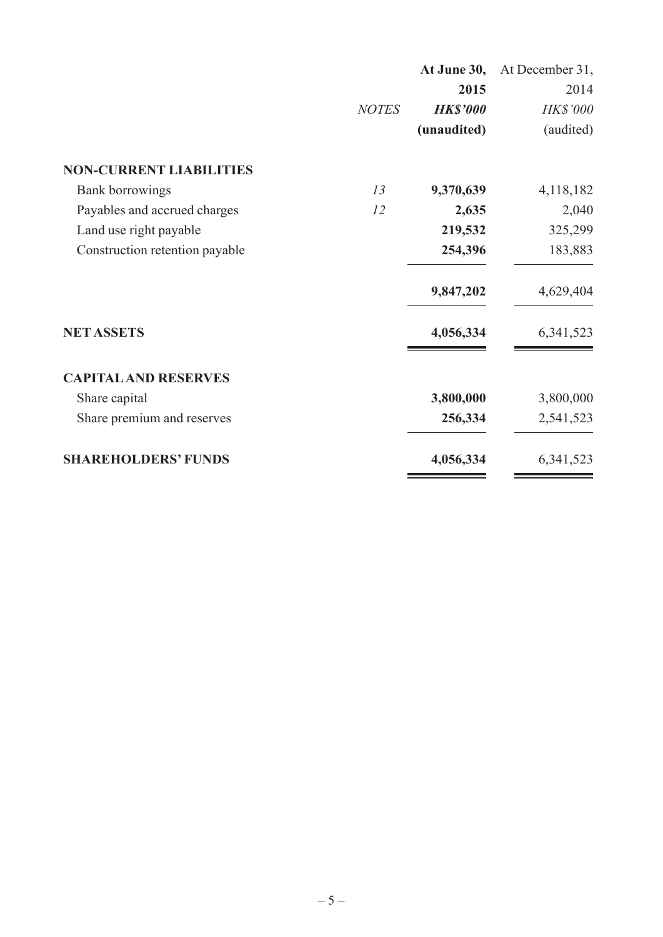|                                |              | At June 30,     | At December 31, |
|--------------------------------|--------------|-----------------|-----------------|
|                                |              | 2015            | 2014            |
|                                | <b>NOTES</b> | <b>HK\$'000</b> | HK\$'000        |
|                                |              | (unaudited)     | (audited)       |
| <b>NON-CURRENT LIABILITIES</b> |              |                 |                 |
| <b>Bank borrowings</b>         | 13           | 9,370,639       | 4,118,182       |
| Payables and accrued charges   | 12           | 2,635           | 2,040           |
| Land use right payable         |              | 219,532         | 325,299         |
| Construction retention payable |              | 254,396         | 183,883         |
|                                |              | 9,847,202       | 4,629,404       |
| <b>NET ASSETS</b>              |              | 4,056,334       | 6,341,523       |
| <b>CAPITAL AND RESERVES</b>    |              |                 |                 |
| Share capital                  |              | 3,800,000       | 3,800,000       |
| Share premium and reserves     |              | 256,334         | 2,541,523       |
| <b>SHAREHOLDERS' FUNDS</b>     |              | 4,056,334       | 6,341,523       |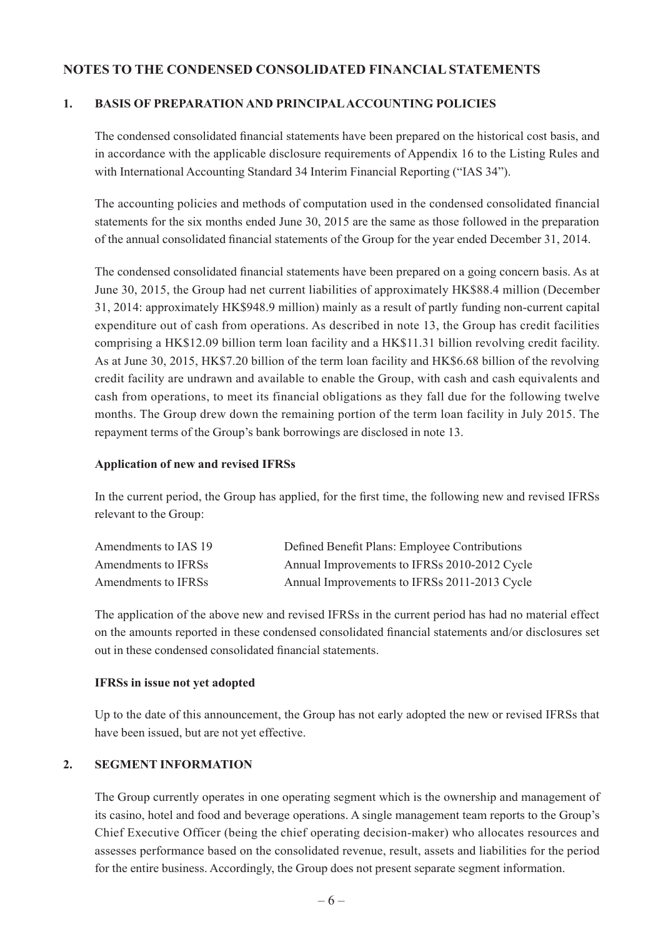#### **NOTES TO THE CONDENSED CONSOLIDATED FINANCIAL STATEMENTS**

#### **1. BASIS OF PREPARATION AND PRINCIPAL ACCOUNTING POLICIES**

The condensed consolidated financial statements have been prepared on the historical cost basis, and in accordance with the applicable disclosure requirements of Appendix 16 to the Listing Rules and with International Accounting Standard 34 Interim Financial Reporting ("IAS 34").

The accounting policies and methods of computation used in the condensed consolidated financial statements for the six months ended June 30, 2015 are the same as those followed in the preparation of the annual consolidated financial statements of the Group for the year ended December 31, 2014.

The condensed consolidated financial statements have been prepared on a going concern basis. As at June 30, 2015, the Group had net current liabilities of approximately HK\$88.4 million (December 31, 2014: approximately HK\$948.9 million) mainly as a result of partly funding non-current capital expenditure out of cash from operations. As described in note 13, the Group has credit facilities comprising a HK\$12.09 billion term loan facility and a HK\$11.31 billion revolving credit facility. As at June 30, 2015, HK\$7.20 billion of the term loan facility and HK\$6.68 billion of the revolving credit facility are undrawn and available to enable the Group, with cash and cash equivalents and cash from operations, to meet its financial obligations as they fall due for the following twelve months. The Group drew down the remaining portion of the term loan facility in July 2015. The repayment terms of the Group's bank borrowings are disclosed in note 13.

#### **Application of new and revised IFRSs**

In the current period, the Group has applied, for the first time, the following new and revised IFRSs relevant to the Group:

| Amendments to IAS 19 | Defined Benefit Plans: Employee Contributions |
|----------------------|-----------------------------------------------|
| Amendments to IFRSs  | Annual Improvements to IFRSs 2010-2012 Cycle  |
| Amendments to IFRSs  | Annual Improvements to IFRSs 2011-2013 Cycle  |

The application of the above new and revised IFRSs in the current period has had no material effect on the amounts reported in these condensed consolidated financial statements and/or disclosures set out in these condensed consolidated financial statements.

#### **IFRSs in issue not yet adopted**

Up to the date of this announcement, the Group has not early adopted the new or revised IFRSs that have been issued, but are not yet effective.

#### **2. SEGMENT INFORMATION**

The Group currently operates in one operating segment which is the ownership and management of its casino, hotel and food and beverage operations. A single management team reports to the Group's Chief Executive Officer (being the chief operating decision-maker) who allocates resources and assesses performance based on the consolidated revenue, result, assets and liabilities for the period for the entire business. Accordingly, the Group does not present separate segment information.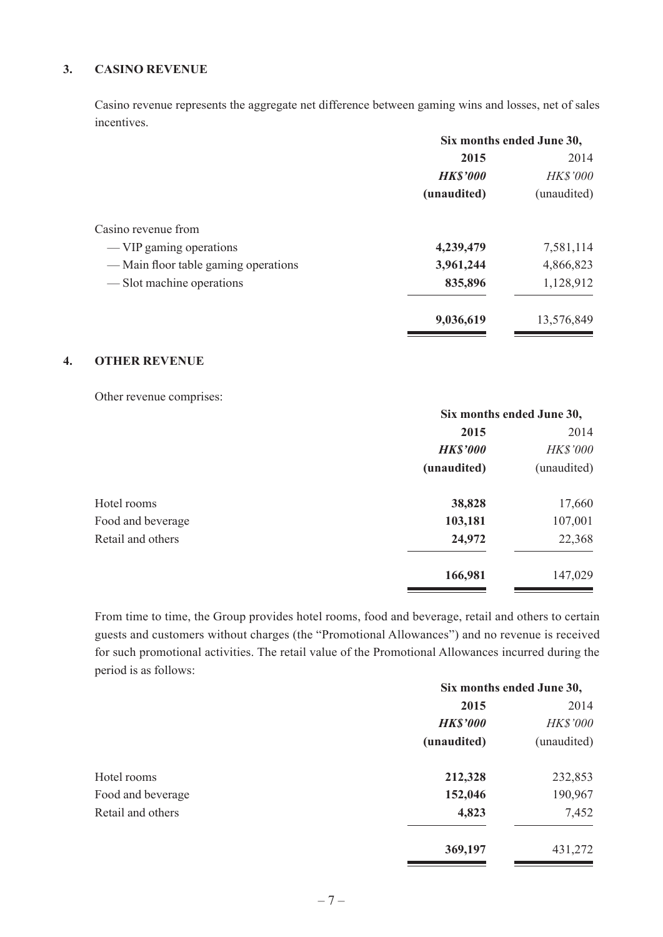#### **3. CASINO REVENUE**

Casino revenue represents the aggregate net difference between gaming wins and losses, net of sales incentives.

| Six months ended June 30, |                 |
|---------------------------|-----------------|
| 2015                      | 2014            |
| <b>HK\$'000</b>           | <b>HK\$'000</b> |
| (unaudited)               | (unaudited)     |
|                           |                 |
| 4,239,479                 | 7,581,114       |
| 3,961,244                 | 4,866,823       |
| 835,896                   | 1,128,912       |
| 9,036,619                 | 13,576,849      |
|                           |                 |

#### **4. OTHER REVENUE**

Other revenue comprises:

|                   | Six months ended June 30, |                 |
|-------------------|---------------------------|-----------------|
|                   | 2015                      | 2014            |
|                   | <b>HK\$'000</b>           | <b>HK\$'000</b> |
|                   | (unaudited)               | (unaudited)     |
| Hotel rooms       | 38,828                    | 17,660          |
| Food and beverage | 103,181                   | 107,001         |
| Retail and others | 24,972                    | 22,368          |
|                   | 166,981                   | 147,029         |

From time to time, the Group provides hotel rooms, food and beverage, retail and others to certain guests and customers without charges (the "Promotional Allowances") and no revenue is received for such promotional activities. The retail value of the Promotional Allowances incurred during the period is as follows:

|                   | Six months ended June 30, |             |
|-------------------|---------------------------|-------------|
|                   | 2015                      | 2014        |
|                   | <b>HK\$'000</b>           | HK\$'000    |
|                   | (unaudited)               | (unaudited) |
| Hotel rooms       | 212,328                   | 232,853     |
| Food and beverage | 152,046                   | 190,967     |
| Retail and others | 4,823                     | 7,452       |
|                   | 369,197                   | 431,272     |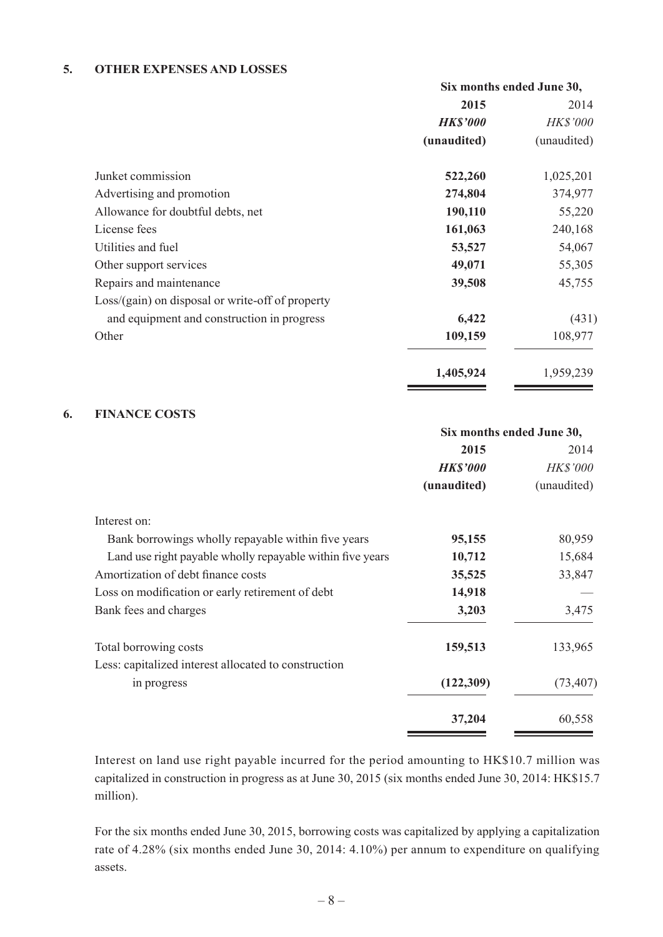#### **5. OTHER EXPENSES AND LOSSES**

|                                                  | Six months ended June 30, |                 |
|--------------------------------------------------|---------------------------|-----------------|
|                                                  | 2015                      | 2014            |
|                                                  | <b>HK\$'000</b>           | <b>HK\$'000</b> |
|                                                  | (unaudited)               | (unaudited)     |
| Junket commission                                | 522,260                   | 1,025,201       |
| Advertising and promotion                        | 274,804                   | 374,977         |
| Allowance for doubtful debts, net                | 190,110                   | 55,220          |
| License fees                                     | 161,063                   | 240,168         |
| Utilities and fuel                               | 53,527                    | 54,067          |
| Other support services                           | 49,071                    | 55,305          |
| Repairs and maintenance                          | 39,508                    | 45,755          |
| Loss/(gain) on disposal or write-off of property |                           |                 |
| and equipment and construction in progress       | 6,422                     | (431)           |
| Other                                            | 109,159                   | 108,977         |
|                                                  | 1,405,924                 | 1,959,239       |

#### **6. FINANCE COSTS**

|                                                           | Six months ended June 30, |                 |
|-----------------------------------------------------------|---------------------------|-----------------|
|                                                           | 2015                      | 2014            |
|                                                           | <b>HK\$'000</b>           | <b>HK\$'000</b> |
|                                                           | (unaudited)               | (unaudited)     |
| Interest on:                                              |                           |                 |
| Bank borrowings wholly repayable within five years        | 95,155                    | 80,959          |
| Land use right payable wholly repayable within five years | 10,712                    | 15,684          |
| Amortization of debt finance costs                        | 35,525                    | 33,847          |
| Loss on modification or early retirement of debt          | 14,918                    |                 |
| Bank fees and charges                                     | 3,203                     | 3,475           |
| Total borrowing costs                                     | 159,513                   | 133,965         |
| Less: capitalized interest allocated to construction      |                           |                 |
| in progress                                               | (122, 309)                | (73, 407)       |
|                                                           | 37,204                    | 60,558          |

Interest on land use right payable incurred for the period amounting to HK\$10.7 million was capitalized in construction in progress as at June 30, 2015 (six months ended June 30, 2014: HK\$15.7 million).

For the six months ended June 30, 2015, borrowing costs was capitalized by applying a capitalization rate of 4.28% (six months ended June 30, 2014: 4.10%) per annum to expenditure on qualifying assets.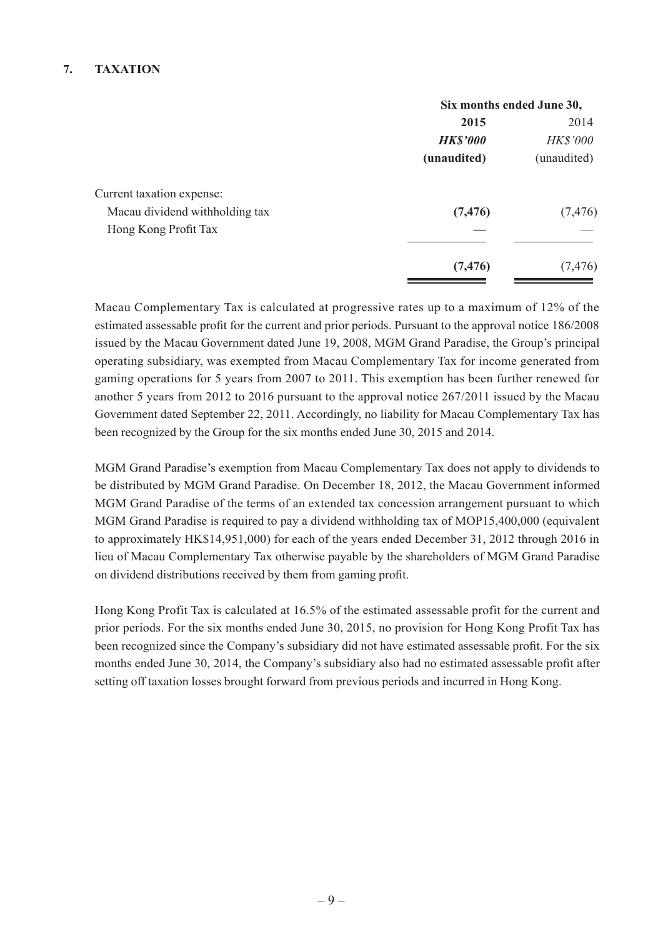#### **7. TAXATION**

|                                | Six months ended June 30, |             |
|--------------------------------|---------------------------|-------------|
|                                | 2015                      | 2014        |
|                                | <b>HK\$'000</b>           | HK\$'000    |
|                                | (unaudited)               | (unaudited) |
| Current taxation expense:      |                           |             |
| Macau dividend withholding tax | (7, 476)                  | (7, 476)    |
| Hong Kong Profit Tax           |                           |             |
|                                | (7, 476)                  | (7, 476)    |

Macau Complementary Tax is calculated at progressive rates up to a maximum of 12% of the estimated assessable profit for the current and prior periods. Pursuant to the approval notice 186/2008 issued by the Macau Government dated June 19, 2008, MGM Grand Paradise, the Group's principal operating subsidiary, was exempted from Macau Complementary Tax for income generated from gaming operations for 5 years from 2007 to 2011. This exemption has been further renewed for another 5 years from 2012 to 2016 pursuant to the approval notice 267/2011 issued by the Macau Government dated September 22, 2011. Accordingly, no liability for Macau Complementary Tax has been recognized by the Group for the six months ended June 30, 2015 and 2014.

MGM Grand Paradise's exemption from Macau Complementary Tax does not apply to dividends to be distributed by MGM Grand Paradise. On December 18, 2012, the Macau Government informed MGM Grand Paradise of the terms of an extended tax concession arrangement pursuant to which MGM Grand Paradise is required to pay a dividend withholding tax of MOP15,400,000 (equivalent to approximately HK\$14,951,000) for each of the years ended December 31, 2012 through 2016 in lieu of Macau Complementary Tax otherwise payable by the shareholders of MGM Grand Paradise on dividend distributions received by them from gaming profit.

Hong Kong Profit Tax is calculated at 16.5% of the estimated assessable profit for the current and prior periods. For the six months ended June 30, 2015, no provision for Hong Kong Profit Tax has been recognized since the Company's subsidiary did not have estimated assessable profit. For the six months ended June 30, 2014, the Company's subsidiary also had no estimated assessable profit after setting off taxation losses brought forward from previous periods and incurred in Hong Kong.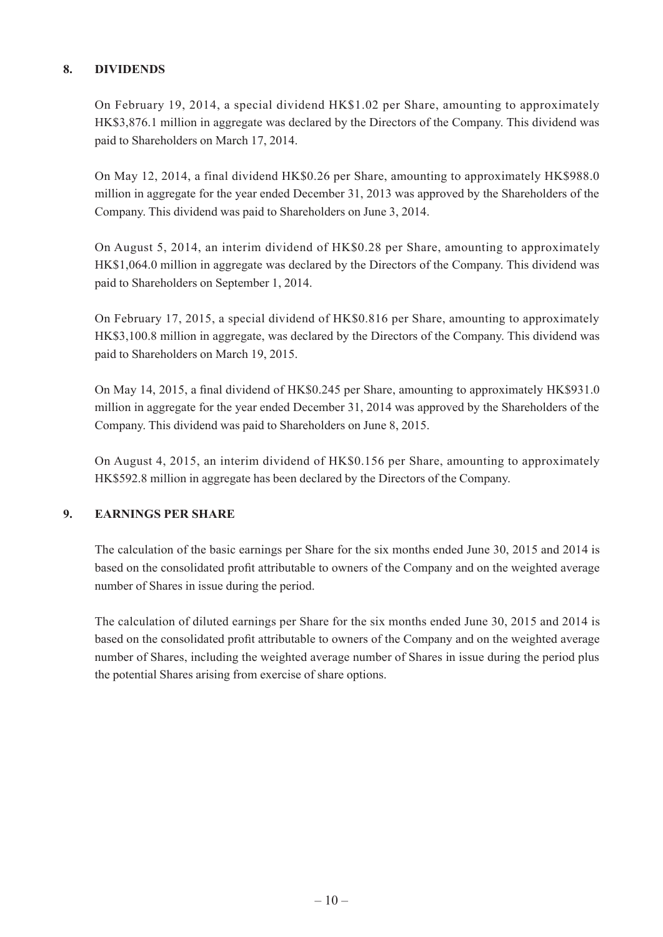#### **8. DIVIDENDS**

On February 19, 2014, a special dividend HK\$1.02 per Share, amounting to approximately HK\$3,876.1 million in aggregate was declared by the Directors of the Company. This dividend was paid to Shareholders on March 17, 2014.

On May 12, 2014, a final dividend HK\$0.26 per Share, amounting to approximately HK\$988.0 million in aggregate for the year ended December 31, 2013 was approved by the Shareholders of the Company. This dividend was paid to Shareholders on June 3, 2014.

On August 5, 2014, an interim dividend of HK\$0.28 per Share, amounting to approximately HK\$1,064.0 million in aggregate was declared by the Directors of the Company. This dividend was paid to Shareholders on September 1, 2014.

On February 17, 2015, a special dividend of HK\$0.816 per Share, amounting to approximately HK\$3,100.8 million in aggregate, was declared by the Directors of the Company. This dividend was paid to Shareholders on March 19, 2015.

On May 14, 2015, a final dividend of HK\$0.245 per Share, amounting to approximately HK\$931.0 million in aggregate for the year ended December 31, 2014 was approved by the Shareholders of the Company. This dividend was paid to Shareholders on June 8, 2015.

On August 4, 2015, an interim dividend of HK\$0.156 per Share, amounting to approximately HK\$592.8 million in aggregate has been declared by the Directors of the Company.

#### **9. EARNINGS PER SHARE**

The calculation of the basic earnings per Share for the six months ended June 30, 2015 and 2014 is based on the consolidated profit attributable to owners of the Company and on the weighted average number of Shares in issue during the period.

The calculation of diluted earnings per Share for the six months ended June 30, 2015 and 2014 is based on the consolidated profit attributable to owners of the Company and on the weighted average number of Shares, including the weighted average number of Shares in issue during the period plus the potential Shares arising from exercise of share options.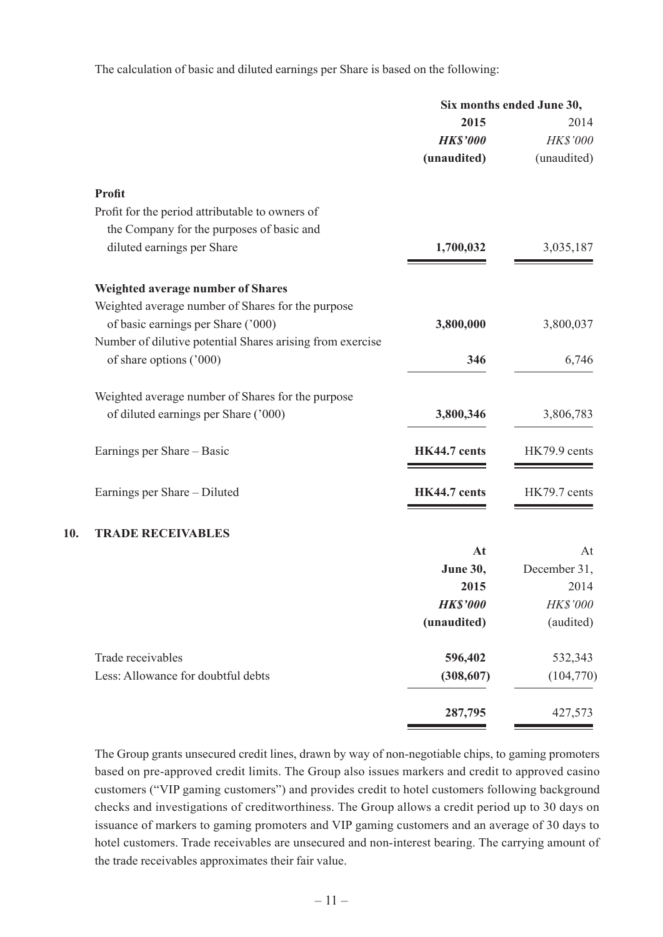The calculation of basic and diluted earnings per Share is based on the following:

|     |                                                           | Six months ended June 30, |              |
|-----|-----------------------------------------------------------|---------------------------|--------------|
|     |                                                           | 2015                      | 2014         |
|     |                                                           | <b>HK\$'000</b>           | HK\$'000     |
|     |                                                           | (unaudited)               | (unaudited)  |
|     | <b>Profit</b>                                             |                           |              |
|     | Profit for the period attributable to owners of           |                           |              |
|     | the Company for the purposes of basic and                 |                           |              |
|     | diluted earnings per Share                                | 1,700,032                 | 3,035,187    |
|     | <b>Weighted average number of Shares</b>                  |                           |              |
|     | Weighted average number of Shares for the purpose         |                           |              |
|     | of basic earnings per Share ('000)                        | 3,800,000                 | 3,800,037    |
|     | Number of dilutive potential Shares arising from exercise |                           |              |
|     | of share options ('000)                                   | 346                       | 6,746        |
|     | Weighted average number of Shares for the purpose         |                           |              |
|     | of diluted earnings per Share ('000)                      | 3,800,346                 | 3,806,783    |
|     | Earnings per Share - Basic                                | HK44.7 cents              | HK79.9 cents |
|     | Earnings per Share – Diluted                              | HK44.7 cents              | HK79.7 cents |
| 10. | <b>TRADE RECEIVABLES</b>                                  |                           |              |
|     |                                                           | At                        | At           |
|     |                                                           | <b>June 30,</b>           | December 31, |
|     |                                                           | 2015                      | 2014         |
|     |                                                           | <b>HK\$'000</b>           | HK\$'000     |
|     |                                                           | (unaudited)               | (audited)    |
|     | Trade receivables                                         | 596,402                   | 532,343      |
|     | Less: Allowance for doubtful debts                        | (308, 607)                | (104, 770)   |
|     |                                                           | 287,795                   | 427,573      |
|     |                                                           |                           |              |

The Group grants unsecured credit lines, drawn by way of non-negotiable chips, to gaming promoters based on pre-approved credit limits. The Group also issues markers and credit to approved casino customers ("VIP gaming customers") and provides credit to hotel customers following background checks and investigations of creditworthiness. The Group allows a credit period up to 30 days on issuance of markers to gaming promoters and VIP gaming customers and an average of 30 days to hotel customers. Trade receivables are unsecured and non-interest bearing. The carrying amount of the trade receivables approximates their fair value.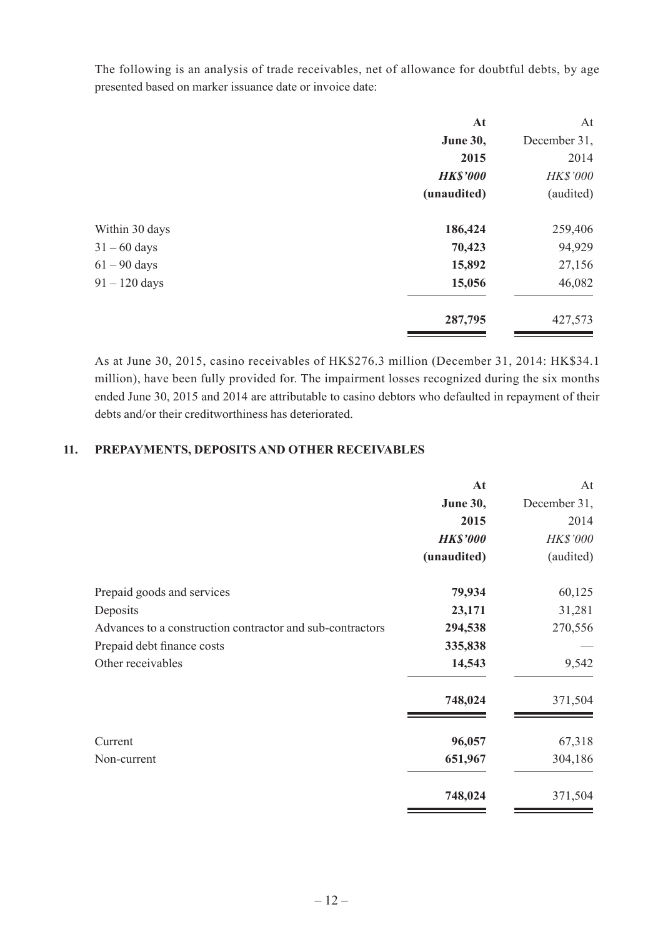The following is an analysis of trade receivables, net of allowance for doubtful debts, by age presented based on marker issuance date or invoice date:

| At              | At           |
|-----------------|--------------|
| <b>June 30,</b> | December 31, |
| 2015            | 2014         |
| <b>HK\$'000</b> | HK\$'000     |
| (unaudited)     | (audited)    |
| 186,424         | 259,406      |
| 70,423          | 94,929       |
| 15,892          | 27,156       |
| 15,056          | 46,082       |
| 287,795         | 427,573      |
|                 |              |

As at June 30, 2015, casino receivables of HK\$276.3 million (December 31, 2014: HK\$34.1 million), have been fully provided for. The impairment losses recognized during the six months ended June 30, 2015 and 2014 are attributable to casino debtors who defaulted in repayment of their debts and/or their creditworthiness has deteriorated.

#### **11. PREPAYMENTS, DEPOSITS AND OTHER RECEIVABLES**

|                                                           | At              | At              |
|-----------------------------------------------------------|-----------------|-----------------|
|                                                           | <b>June 30,</b> | December 31,    |
|                                                           | 2015            | 2014            |
|                                                           | <b>HK\$'000</b> | <b>HK\$'000</b> |
|                                                           | (unaudited)     | (audited)       |
| Prepaid goods and services                                | 79,934          | 60,125          |
| Deposits                                                  | 23,171          | 31,281          |
| Advances to a construction contractor and sub-contractors | 294,538         | 270,556         |
| Prepaid debt finance costs                                | 335,838         |                 |
| Other receivables                                         | 14,543          | 9,542           |
|                                                           | 748,024         | 371,504         |
| Current                                                   | 96,057          | 67,318          |
| Non-current                                               | 651,967         | 304,186         |
|                                                           | 748,024         | 371,504         |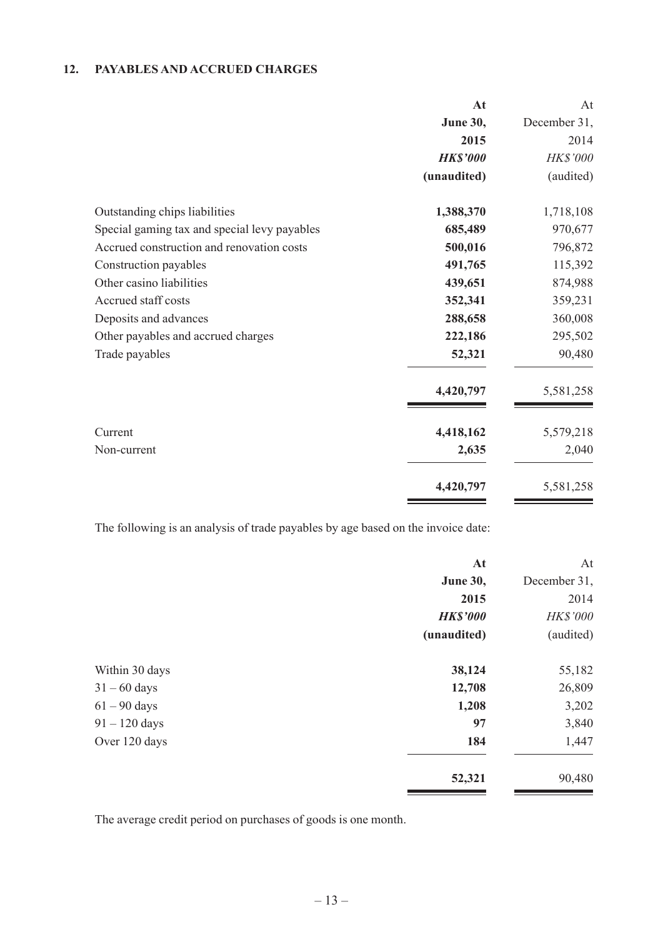#### **12. PAYABLES AND ACCRUED CHARGES**

|                                              | At              | At           |
|----------------------------------------------|-----------------|--------------|
|                                              | <b>June 30,</b> | December 31, |
|                                              | 2015            | 2014         |
|                                              | <b>HK\$'000</b> | HK\$'000     |
|                                              | (unaudited)     | (audited)    |
| Outstanding chips liabilities                | 1,388,370       | 1,718,108    |
| Special gaming tax and special levy payables | 685,489         | 970,677      |
| Accrued construction and renovation costs    | 500,016         | 796,872      |
| Construction payables                        | 491,765         | 115,392      |
| Other casino liabilities                     | 439,651         | 874,988      |
| Accrued staff costs                          | 352,341         | 359,231      |
| Deposits and advances                        | 288,658         | 360,008      |
| Other payables and accrued charges           | 222,186         | 295,502      |
| Trade payables                               | 52,321          | 90,480       |
|                                              | 4,420,797       | 5,581,258    |
| Current                                      | 4,418,162       | 5,579,218    |
| Non-current                                  | 2,635           | 2,040        |
|                                              | 4,420,797       | 5,581,258    |

The following is an analysis of trade payables by age based on the invoice date:

|                 | At              | At           |
|-----------------|-----------------|--------------|
|                 | <b>June 30,</b> | December 31, |
|                 | 2015            | 2014         |
|                 | <b>HK\$'000</b> | HK\$'000     |
|                 | (unaudited)     | (audited)    |
| Within 30 days  | 38,124          | 55,182       |
| $31 - 60$ days  | 12,708          | 26,809       |
| $61 - 90$ days  | 1,208           | 3,202        |
| $91 - 120$ days | 97              | 3,840        |
| Over 120 days   | 184             | 1,447        |
|                 | 52,321          | 90,480       |

The average credit period on purchases of goods is one month.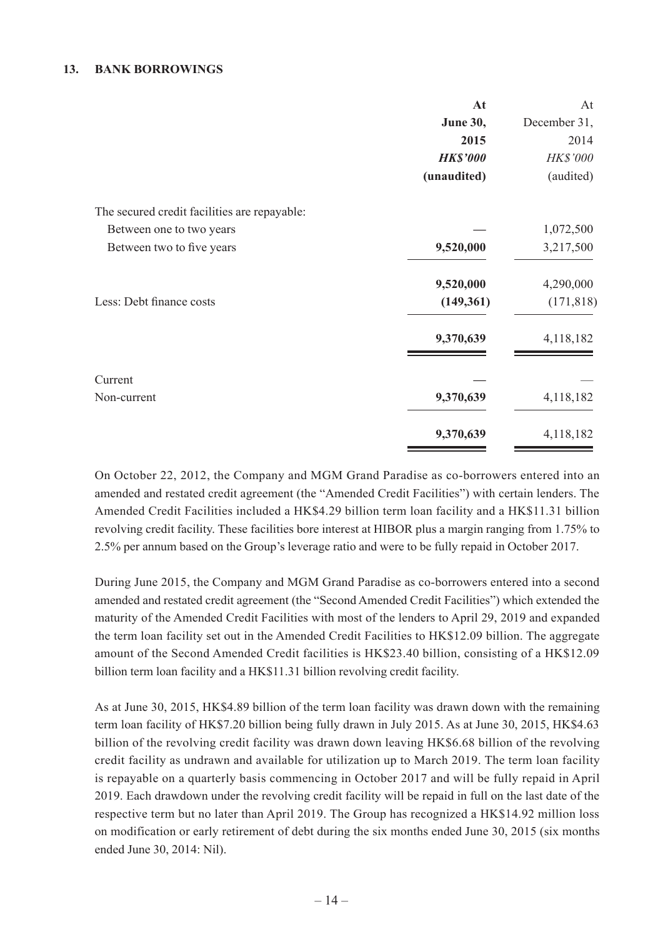#### **13. BANK BORROWINGS**

|                                              | At              | At           |
|----------------------------------------------|-----------------|--------------|
|                                              | <b>June 30,</b> | December 31, |
|                                              | 2015            | 2014         |
|                                              | <b>HK\$'000</b> | HK\$'000     |
|                                              | (unaudited)     | (audited)    |
| The secured credit facilities are repayable: |                 |              |
| Between one to two years                     |                 | 1,072,500    |
| Between two to five years                    | 9,520,000       | 3,217,500    |
|                                              | 9,520,000       | 4,290,000    |
| Less: Debt finance costs                     | (149, 361)      | (171, 818)   |
|                                              | 9,370,639       | 4,118,182    |
| Current                                      |                 |              |
| Non-current                                  | 9,370,639       | 4,118,182    |
|                                              | 9,370,639       | 4,118,182    |

On October 22, 2012, the Company and MGM Grand Paradise as co-borrowers entered into an amended and restated credit agreement (the "Amended Credit Facilities") with certain lenders. The Amended Credit Facilities included a HK\$4.29 billion term loan facility and a HK\$11.31 billion revolving credit facility. These facilities bore interest at HIBOR plus a margin ranging from 1.75% to 2.5% per annum based on the Group's leverage ratio and were to be fully repaid in October 2017.

During June 2015, the Company and MGM Grand Paradise as co-borrowers entered into a second amended and restated credit agreement (the "Second Amended Credit Facilities") which extended the maturity of the Amended Credit Facilities with most of the lenders to April 29, 2019 and expanded the term loan facility set out in the Amended Credit Facilities to HK\$12.09 billion. The aggregate amount of the Second Amended Credit facilities is HK\$23.40 billion, consisting of a HK\$12.09 billion term loan facility and a HK\$11.31 billion revolving credit facility.

As at June 30, 2015, HK\$4.89 billion of the term loan facility was drawn down with the remaining term loan facility of HK\$7.20 billion being fully drawn in July 2015. As at June 30, 2015, HK\$4.63 billion of the revolving credit facility was drawn down leaving HK\$6.68 billion of the revolving credit facility as undrawn and available for utilization up to March 2019. The term loan facility is repayable on a quarterly basis commencing in October 2017 and will be fully repaid in April 2019. Each drawdown under the revolving credit facility will be repaid in full on the last date of the respective term but no later than April 2019. The Group has recognized a HK\$14.92 million loss on modification or early retirement of debt during the six months ended June 30, 2015 (six months ended June 30, 2014: Nil).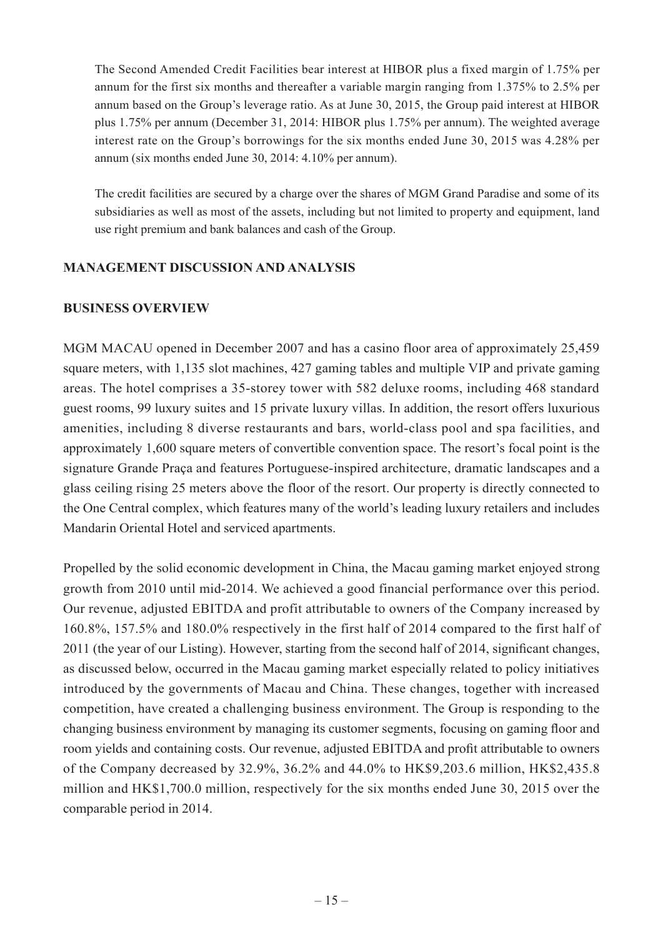The Second Amended Credit Facilities bear interest at HIBOR plus a fixed margin of 1.75% per annum for the first six months and thereafter a variable margin ranging from 1.375% to 2.5% per annum based on the Group's leverage ratio. As at June 30, 2015, the Group paid interest at HIBOR plus 1.75% per annum (December 31, 2014: HIBOR plus 1.75% per annum). The weighted average interest rate on the Group's borrowings for the six months ended June 30, 2015 was 4.28% per annum (six months ended June 30, 2014: 4.10% per annum).

The credit facilities are secured by a charge over the shares of MGM Grand Paradise and some of its subsidiaries as well as most of the assets, including but not limited to property and equipment, land use right premium and bank balances and cash of the Group.

#### **MANAGEMENT DISCUSSION AND ANALYSIS**

#### **BUSINESS OVERVIEW**

MGM MACAU opened in December 2007 and has a casino floor area of approximately 25,459 square meters, with 1,135 slot machines, 427 gaming tables and multiple VIP and private gaming areas. The hotel comprises a 35-storey tower with 582 deluxe rooms, including 468 standard guest rooms, 99 luxury suites and 15 private luxury villas. In addition, the resort offers luxurious amenities, including 8 diverse restaurants and bars, world-class pool and spa facilities, and approximately 1,600 square meters of convertible convention space. The resort's focal point is the signature Grande Praça and features Portuguese-inspired architecture, dramatic landscapes and a glass ceiling rising 25 meters above the floor of the resort. Our property is directly connected to the One Central complex, which features many of the world's leading luxury retailers and includes Mandarin Oriental Hotel and serviced apartments.

Propelled by the solid economic development in China, the Macau gaming market enjoyed strong growth from 2010 until mid-2014. We achieved a good financial performance over this period. Our revenue, adjusted EBITDA and profit attributable to owners of the Company increased by 160.8%, 157.5% and 180.0% respectively in the first half of 2014 compared to the first half of 2011 (the year of our Listing). However, starting from the second half of 2014, significant changes, as discussed below, occurred in the Macau gaming market especially related to policy initiatives introduced by the governments of Macau and China. These changes, together with increased competition, have created a challenging business environment. The Group is responding to the changing business environment by managing its customer segments, focusing on gaming floor and room yields and containing costs. Our revenue, adjusted EBITDA and profit attributable to owners of the Company decreased by 32.9%, 36.2% and 44.0% to HK\$9,203.6 million, HK\$2,435.8 million and HK\$1,700.0 million, respectively for the six months ended June 30, 2015 over the comparable period in 2014.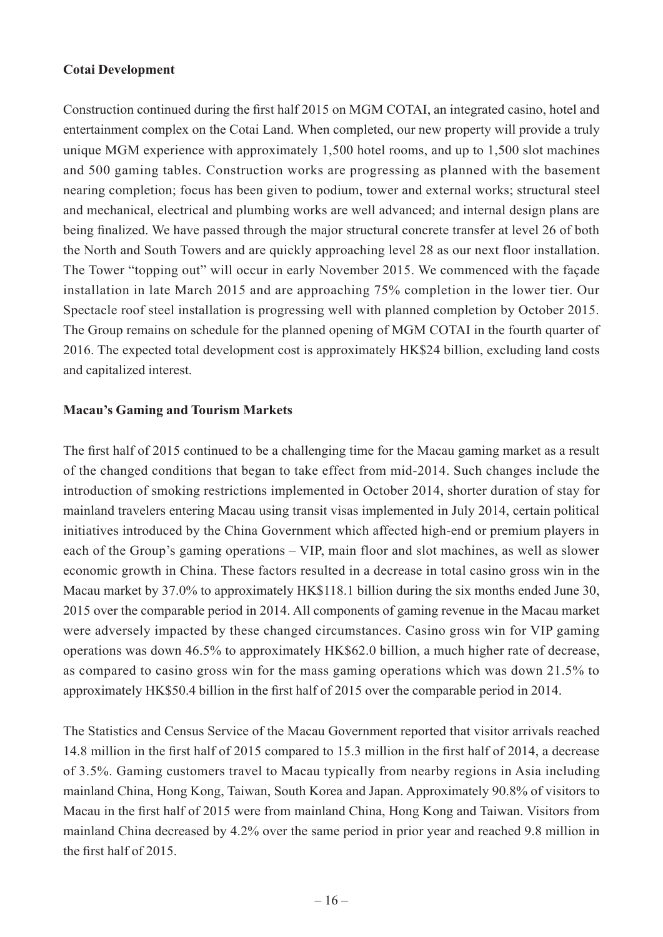#### **Cotai Development**

Construction continued during the first half 2015 on MGM COTAI, an integrated casino, hotel and entertainment complex on the Cotai Land. When completed, our new property will provide a truly unique MGM experience with approximately 1,500 hotel rooms, and up to 1,500 slot machines and 500 gaming tables. Construction works are progressing as planned with the basement nearing completion; focus has been given to podium, tower and external works; structural steel and mechanical, electrical and plumbing works are well advanced; and internal design plans are being finalized. We have passed through the major structural concrete transfer at level 26 of both the North and South Towers and are quickly approaching level 28 as our next floor installation. The Tower "topping out" will occur in early November 2015. We commenced with the façade installation in late March 2015 and are approaching 75% completion in the lower tier. Our Spectacle roof steel installation is progressing well with planned completion by October 2015. The Group remains on schedule for the planned opening of MGM COTAI in the fourth quarter of 2016. The expected total development cost is approximately HK\$24 billion, excluding land costs and capitalized interest.

#### **Macau's Gaming and Tourism Markets**

The first half of 2015 continued to be a challenging time for the Macau gaming market as a result of the changed conditions that began to take effect from mid-2014. Such changes include the introduction of smoking restrictions implemented in October 2014, shorter duration of stay for mainland travelers entering Macau using transit visas implemented in July 2014, certain political initiatives introduced by the China Government which affected high-end or premium players in each of the Group's gaming operations – VIP, main floor and slot machines, as well as slower economic growth in China. These factors resulted in a decrease in total casino gross win in the Macau market by 37.0% to approximately HK\$118.1 billion during the six months ended June 30, 2015 over the comparable period in 2014. All components of gaming revenue in the Macau market were adversely impacted by these changed circumstances. Casino gross win for VIP gaming operations was down 46.5% to approximately HK\$62.0 billion, a much higher rate of decrease, as compared to casino gross win for the mass gaming operations which was down 21.5% to approximately HK\$50.4 billion in the first half of 2015 over the comparable period in 2014.

The Statistics and Census Service of the Macau Government reported that visitor arrivals reached 14.8 million in the first half of 2015 compared to 15.3 million in the first half of 2014, a decrease of 3.5%. Gaming customers travel to Macau typically from nearby regions in Asia including mainland China, Hong Kong, Taiwan, South Korea and Japan. Approximately 90.8% of visitors to Macau in the first half of 2015 were from mainland China, Hong Kong and Taiwan. Visitors from mainland China decreased by 4.2% over the same period in prior year and reached 9.8 million in the first half of 2015.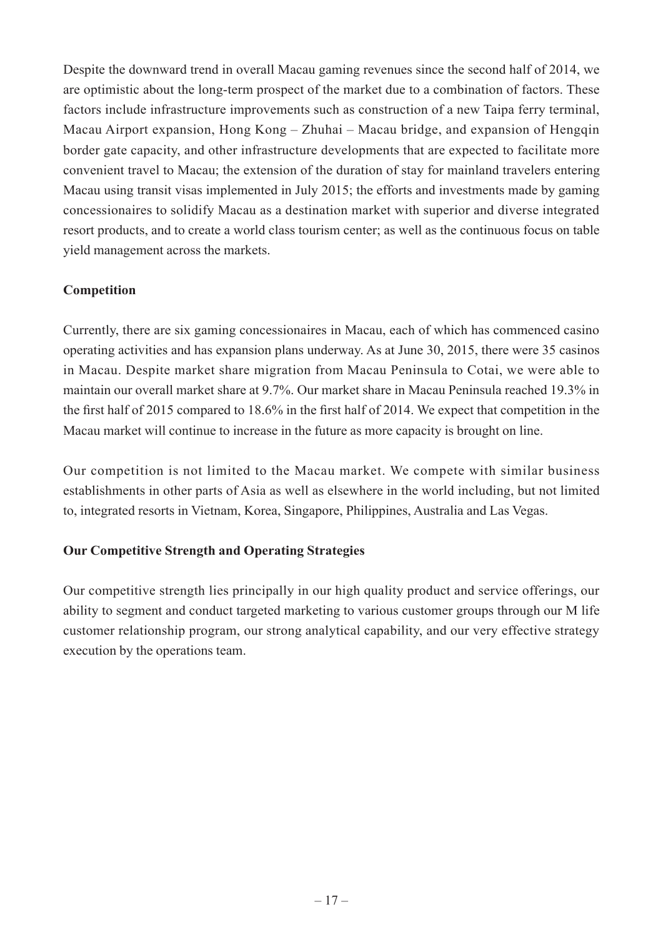Despite the downward trend in overall Macau gaming revenues since the second half of 2014, we are optimistic about the long-term prospect of the market due to a combination of factors. These factors include infrastructure improvements such as construction of a new Taipa ferry terminal, Macau Airport expansion, Hong Kong – Zhuhai – Macau bridge, and expansion of Hengqin border gate capacity, and other infrastructure developments that are expected to facilitate more convenient travel to Macau; the extension of the duration of stay for mainland travelers entering Macau using transit visas implemented in July 2015; the efforts and investments made by gaming concessionaires to solidify Macau as a destination market with superior and diverse integrated resort products, and to create a world class tourism center; as well as the continuous focus on table yield management across the markets.

## **Competition**

Currently, there are six gaming concessionaires in Macau, each of which has commenced casino operating activities and has expansion plans underway. As at June 30, 2015, there were 35 casinos in Macau. Despite market share migration from Macau Peninsula to Cotai, we were able to maintain our overall market share at 9.7%. Our market share in Macau Peninsula reached 19.3% in the first half of 2015 compared to 18.6% in the first half of 2014. We expect that competition in the Macau market will continue to increase in the future as more capacity is brought on line.

Our competition is not limited to the Macau market. We compete with similar business establishments in other parts of Asia as well as elsewhere in the world including, but not limited to, integrated resorts in Vietnam, Korea, Singapore, Philippines, Australia and Las Vegas.

### **Our Competitive Strength and Operating Strategies**

Our competitive strength lies principally in our high quality product and service offerings, our ability to segment and conduct targeted marketing to various customer groups through our M life customer relationship program, our strong analytical capability, and our very effective strategy execution by the operations team.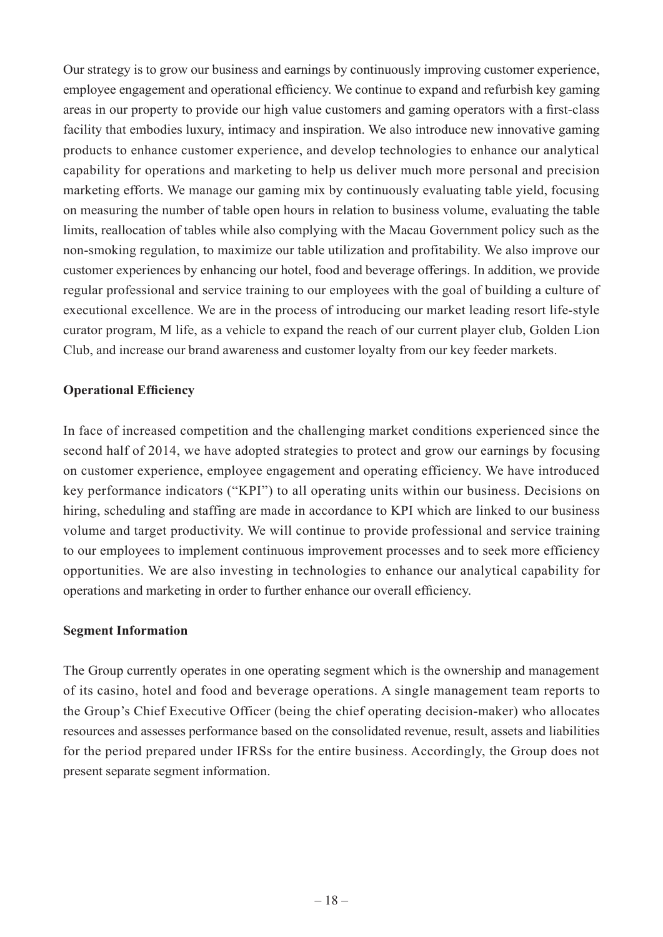Our strategy is to grow our business and earnings by continuously improving customer experience, employee engagement and operational efficiency. We continue to expand and refurbish key gaming areas in our property to provide our high value customers and gaming operators with a first-class facility that embodies luxury, intimacy and inspiration. We also introduce new innovative gaming products to enhance customer experience, and develop technologies to enhance our analytical capability for operations and marketing to help us deliver much more personal and precision marketing efforts. We manage our gaming mix by continuously evaluating table yield, focusing on measuring the number of table open hours in relation to business volume, evaluating the table limits, reallocation of tables while also complying with the Macau Government policy such as the non-smoking regulation, to maximize our table utilization and profitability. We also improve our customer experiences by enhancing our hotel, food and beverage offerings. In addition, we provide regular professional and service training to our employees with the goal of building a culture of executional excellence. We are in the process of introducing our market leading resort life-style curator program, M life, as a vehicle to expand the reach of our current player club, Golden Lion Club, and increase our brand awareness and customer loyalty from our key feeder markets.

#### **Operational Efficiency**

In face of increased competition and the challenging market conditions experienced since the second half of 2014, we have adopted strategies to protect and grow our earnings by focusing on customer experience, employee engagement and operating efficiency. We have introduced key performance indicators ("KPI") to all operating units within our business. Decisions on hiring, scheduling and staffing are made in accordance to KPI which are linked to our business volume and target productivity. We will continue to provide professional and service training to our employees to implement continuous improvement processes and to seek more efficiency opportunities. We are also investing in technologies to enhance our analytical capability for operations and marketing in order to further enhance our overall efficiency.

#### **Segment Information**

The Group currently operates in one operating segment which is the ownership and management of its casino, hotel and food and beverage operations. A single management team reports to the Group's Chief Executive Officer (being the chief operating decision-maker) who allocates resources and assesses performance based on the consolidated revenue, result, assets and liabilities for the period prepared under IFRSs for the entire business. Accordingly, the Group does not present separate segment information.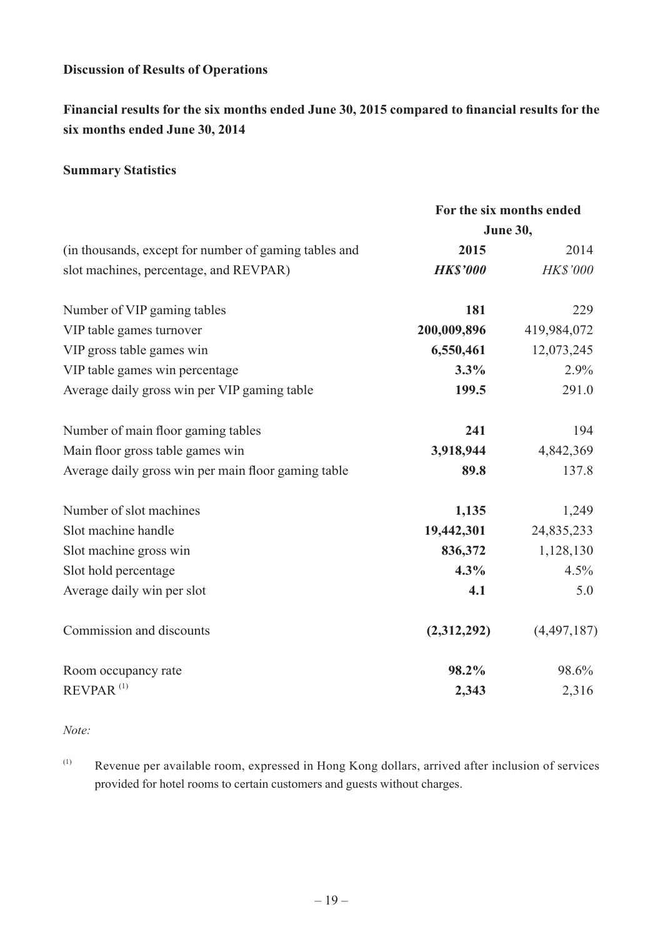### **Discussion of Results of Operations**

**Financial results for the six months ended June 30, 2015 compared to financial results for the six months ended June 30, 2014**

#### **Summary Statistics**

|                                                       | For the six months ended |                 |
|-------------------------------------------------------|--------------------------|-----------------|
|                                                       |                          | June 30,        |
| (in thousands, except for number of gaming tables and | 2015                     | 2014            |
| slot machines, percentage, and REVPAR)                | <b>HK\$'000</b>          | <b>HK\$'000</b> |
| Number of VIP gaming tables                           | 181                      | 229             |
| VIP table games turnover                              | 200,009,896              | 419,984,072     |
| VIP gross table games win                             | 6,550,461                | 12,073,245      |
| VIP table games win percentage                        | 3.3%                     | 2.9%            |
| Average daily gross win per VIP gaming table          | 199.5                    | 291.0           |
| Number of main floor gaming tables                    | 241                      | 194             |
| Main floor gross table games win                      | 3,918,944                | 4,842,369       |
| Average daily gross win per main floor gaming table   | 89.8                     | 137.8           |
| Number of slot machines                               | 1,135                    | 1,249           |
| Slot machine handle                                   | 19,442,301               | 24,835,233      |
| Slot machine gross win                                | 836,372                  | 1,128,130       |
| Slot hold percentage                                  | 4.3%                     | 4.5%            |
| Average daily win per slot                            | 4.1                      | 5.0             |
| Commission and discounts                              | (2,312,292)              | (4,497,187)     |
| Room occupancy rate                                   | 98.2%                    | 98.6%           |
| $REVPAR$ <sup>(1)</sup>                               | 2,343                    | 2,316           |

*Note:*

(1) Revenue per available room, expressed in Hong Kong dollars, arrived after inclusion of services provided for hotel rooms to certain customers and guests without charges.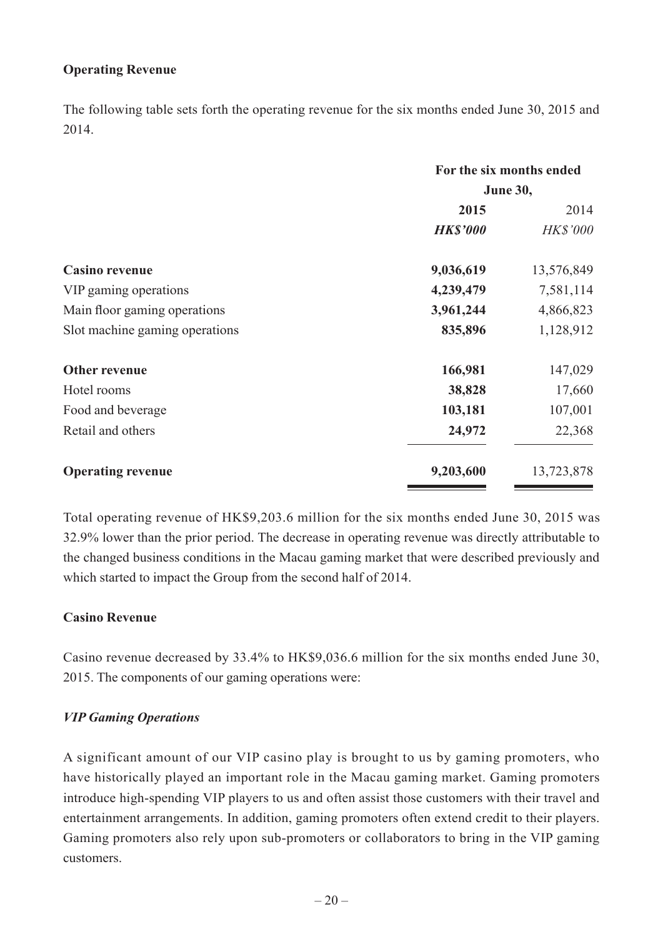### **Operating Revenue**

The following table sets forth the operating revenue for the six months ended June 30, 2015 and 2014.

|                                | For the six months ended |                 |
|--------------------------------|--------------------------|-----------------|
|                                | <b>June 30,</b>          |                 |
|                                | 2015                     | 2014            |
|                                | <b>HK\$'000</b>          | <b>HK\$'000</b> |
| <b>Casino revenue</b>          | 9,036,619                | 13,576,849      |
| VIP gaming operations          | 4,239,479                | 7,581,114       |
| Main floor gaming operations   | 3,961,244                | 4,866,823       |
| Slot machine gaming operations | 835,896                  | 1,128,912       |
| <b>Other revenue</b>           | 166,981                  | 147,029         |
| Hotel rooms                    | 38,828                   | 17,660          |
| Food and beverage              | 103,181                  | 107,001         |
| Retail and others              | 24,972                   | 22,368          |
| <b>Operating revenue</b>       | 9,203,600                | 13,723,878      |

Total operating revenue of HK\$9,203.6 million for the six months ended June 30, 2015 was 32.9% lower than the prior period. The decrease in operating revenue was directly attributable to the changed business conditions in the Macau gaming market that were described previously and which started to impact the Group from the second half of 2014.

#### **Casino Revenue**

Casino revenue decreased by 33.4% to HK\$9,036.6 million for the six months ended June 30, 2015. The components of our gaming operations were:

#### *VIP Gaming Operations*

A significant amount of our VIP casino play is brought to us by gaming promoters, who have historically played an important role in the Macau gaming market. Gaming promoters introduce high-spending VIP players to us and often assist those customers with their travel and entertainment arrangements. In addition, gaming promoters often extend credit to their players. Gaming promoters also rely upon sub-promoters or collaborators to bring in the VIP gaming customers.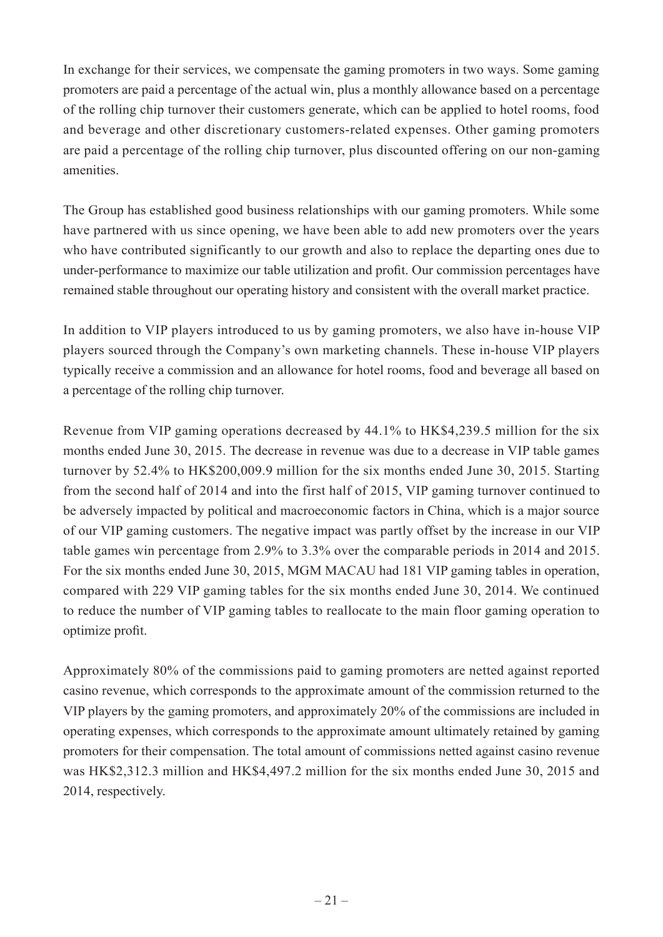In exchange for their services, we compensate the gaming promoters in two ways. Some gaming promoters are paid a percentage of the actual win, plus a monthly allowance based on a percentage of the rolling chip turnover their customers generate, which can be applied to hotel rooms, food and beverage and other discretionary customers-related expenses. Other gaming promoters are paid a percentage of the rolling chip turnover, plus discounted offering on our non-gaming amenities.

The Group has established good business relationships with our gaming promoters. While some have partnered with us since opening, we have been able to add new promoters over the years who have contributed significantly to our growth and also to replace the departing ones due to under-performance to maximize our table utilization and profit. Our commission percentages have remained stable throughout our operating history and consistent with the overall market practice.

In addition to VIP players introduced to us by gaming promoters, we also have in-house VIP players sourced through the Company's own marketing channels. These in-house VIP players typically receive a commission and an allowance for hotel rooms, food and beverage all based on a percentage of the rolling chip turnover.

Revenue from VIP gaming operations decreased by 44.1% to HK\$4,239.5 million for the six months ended June 30, 2015. The decrease in revenue was due to a decrease in VIP table games turnover by 52.4% to HK\$200,009.9 million for the six months ended June 30, 2015. Starting from the second half of 2014 and into the first half of 2015, VIP gaming turnover continued to be adversely impacted by political and macroeconomic factors in China, which is a major source of our VIP gaming customers. The negative impact was partly offset by the increase in our VIP table games win percentage from 2.9% to 3.3% over the comparable periods in 2014 and 2015. For the six months ended June 30, 2015, MGM MACAU had 181 VIP gaming tables in operation, compared with 229 VIP gaming tables for the six months ended June 30, 2014. We continued to reduce the number of VIP gaming tables to reallocate to the main floor gaming operation to optimize profit.

Approximately 80% of the commissions paid to gaming promoters are netted against reported casino revenue, which corresponds to the approximate amount of the commission returned to the VIP players by the gaming promoters, and approximately 20% of the commissions are included in operating expenses, which corresponds to the approximate amount ultimately retained by gaming promoters for their compensation. The total amount of commissions netted against casino revenue was HK\$2,312.3 million and HK\$4,497.2 million for the six months ended June 30, 2015 and 2014, respectively.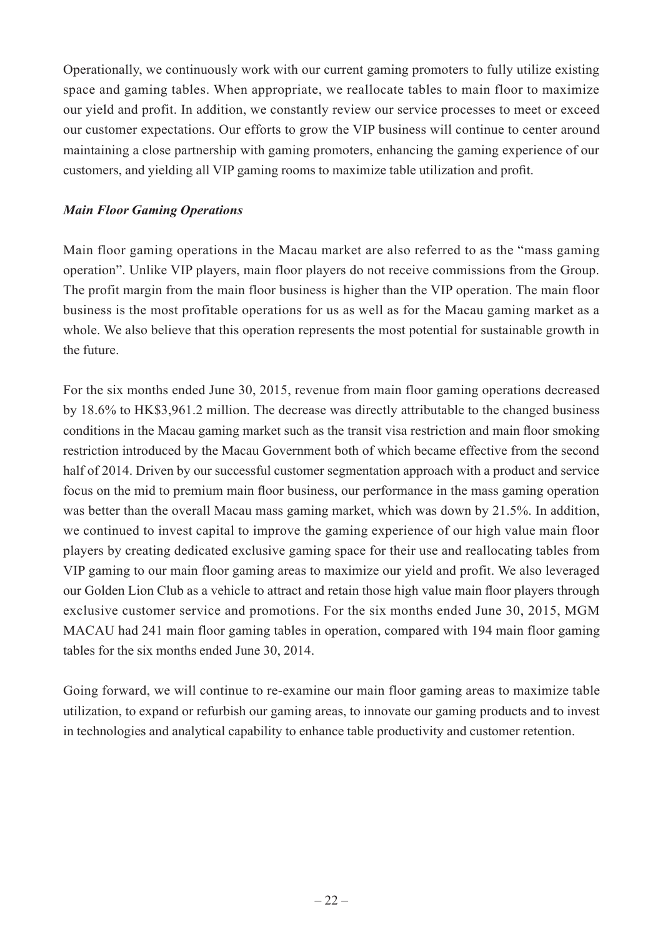Operationally, we continuously work with our current gaming promoters to fully utilize existing space and gaming tables. When appropriate, we reallocate tables to main floor to maximize our yield and profit. In addition, we constantly review our service processes to meet or exceed our customer expectations. Our efforts to grow the VIP business will continue to center around maintaining a close partnership with gaming promoters, enhancing the gaming experience of our customers, and yielding all VIP gaming rooms to maximize table utilization and profit.

#### *Main Floor Gaming Operations*

Main floor gaming operations in the Macau market are also referred to as the "mass gaming operation". Unlike VIP players, main floor players do not receive commissions from the Group. The profit margin from the main floor business is higher than the VIP operation. The main floor business is the most profitable operations for us as well as for the Macau gaming market as a whole. We also believe that this operation represents the most potential for sustainable growth in the future.

For the six months ended June 30, 2015, revenue from main floor gaming operations decreased by 18.6% to HK\$3,961.2 million. The decrease was directly attributable to the changed business conditions in the Macau gaming market such as the transit visa restriction and main floor smoking restriction introduced by the Macau Government both of which became effective from the second half of 2014. Driven by our successful customer segmentation approach with a product and service focus on the mid to premium main floor business, our performance in the mass gaming operation was better than the overall Macau mass gaming market, which was down by 21.5%. In addition, we continued to invest capital to improve the gaming experience of our high value main floor players by creating dedicated exclusive gaming space for their use and reallocating tables from VIP gaming to our main floor gaming areas to maximize our yield and profit. We also leveraged our Golden Lion Club as a vehicle to attract and retain those high value main floor players through exclusive customer service and promotions. For the six months ended June 30, 2015, MGM MACAU had 241 main floor gaming tables in operation, compared with 194 main floor gaming tables for the six months ended June 30, 2014.

Going forward, we will continue to re-examine our main floor gaming areas to maximize table utilization, to expand or refurbish our gaming areas, to innovate our gaming products and to invest in technologies and analytical capability to enhance table productivity and customer retention.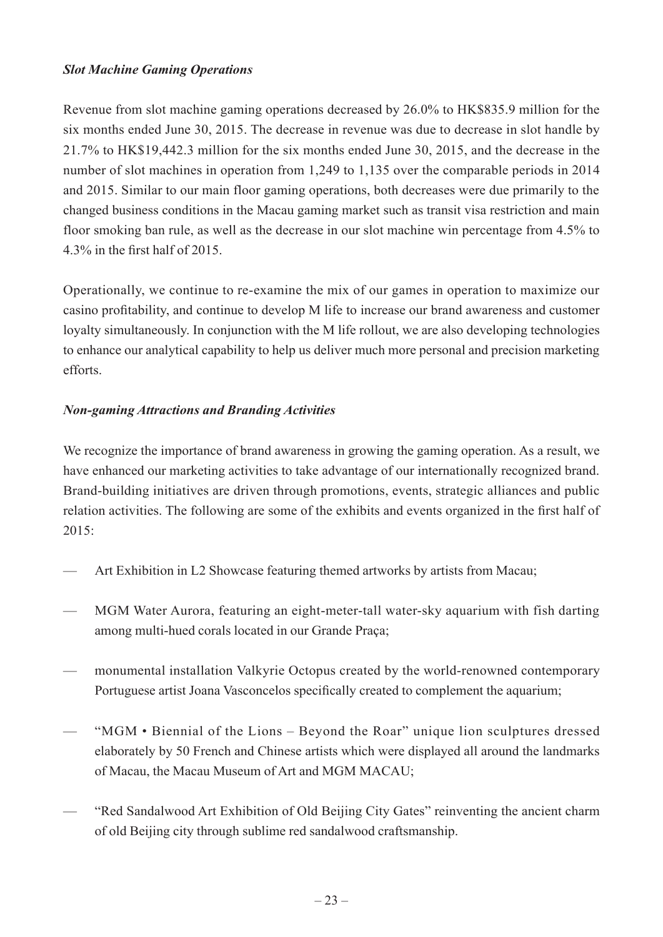#### *Slot Machine Gaming Operations*

Revenue from slot machine gaming operations decreased by 26.0% to HK\$835.9 million for the six months ended June 30, 2015. The decrease in revenue was due to decrease in slot handle by 21.7% to HK\$19,442.3 million for the six months ended June 30, 2015, and the decrease in the number of slot machines in operation from 1,249 to 1,135 over the comparable periods in 2014 and 2015. Similar to our main floor gaming operations, both decreases were due primarily to the changed business conditions in the Macau gaming market such as transit visa restriction and main floor smoking ban rule, as well as the decrease in our slot machine win percentage from 4.5% to 4.3% in the first half of 2015.

Operationally, we continue to re-examine the mix of our games in operation to maximize our casino profitability, and continue to develop M life to increase our brand awareness and customer loyalty simultaneously. In conjunction with the M life rollout, we are also developing technologies to enhance our analytical capability to help us deliver much more personal and precision marketing efforts.

### *Non-gaming Attractions and Branding Activities*

We recognize the importance of brand awareness in growing the gaming operation. As a result, we have enhanced our marketing activities to take advantage of our internationally recognized brand. Brand-building initiatives are driven through promotions, events, strategic alliances and public relation activities. The following are some of the exhibits and events organized in the first half of 2015:

- Art Exhibition in L2 Showcase featuring themed artworks by artists from Macau;
- MGM Water Aurora, featuring an eight-meter-tall water-sky aquarium with fish darting among multi-hued corals located in our Grande Praça;
- monumental installation Valkyrie Octopus created by the world-renowned contemporary Portuguese artist Joana Vasconcelos specifically created to complement the aquarium;
- "MGM Biennial of the Lions Beyond the Roar" unique lion sculptures dressed elaborately by 50 French and Chinese artists which were displayed all around the landmarks of Macau, the Macau Museum of Art and MGM MACAU;
- "Red Sandalwood Art Exhibition of Old Beijing City Gates" reinventing the ancient charm of old Beijing city through sublime red sandalwood craftsmanship.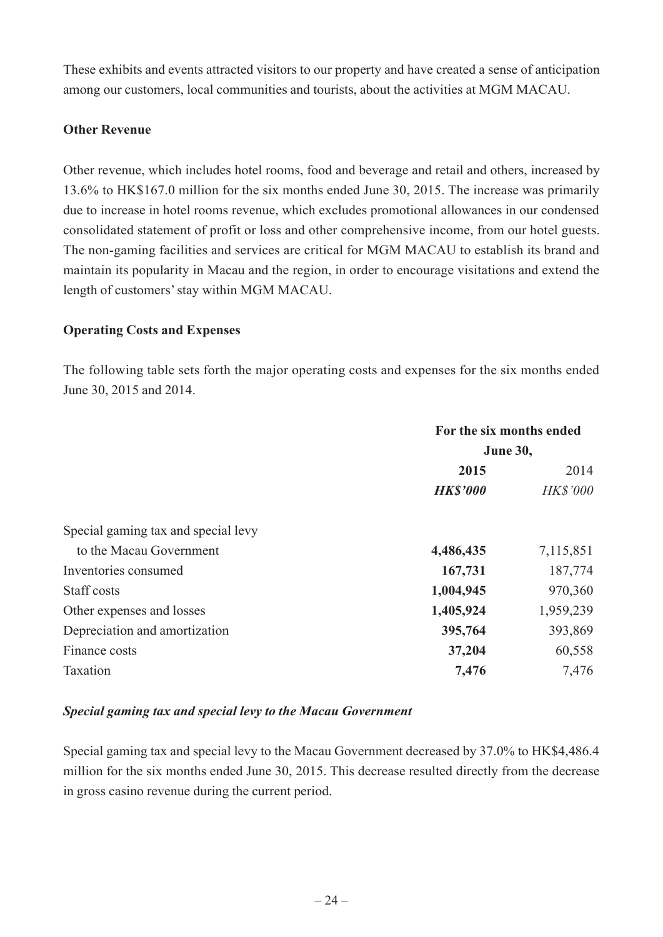These exhibits and events attracted visitors to our property and have created a sense of anticipation among our customers, local communities and tourists, about the activities at MGM MACAU.

#### **Other Revenue**

Other revenue, which includes hotel rooms, food and beverage and retail and others, increased by 13.6% to HK\$167.0 million for the six months ended June 30, 2015. The increase was primarily due to increase in hotel rooms revenue, which excludes promotional allowances in our condensed consolidated statement of profit or loss and other comprehensive income, from our hotel guests. The non-gaming facilities and services are critical for MGM MACAU to establish its brand and maintain its popularity in Macau and the region, in order to encourage visitations and extend the length of customers' stay within MGM MACAU.

#### **Operating Costs and Expenses**

The following table sets forth the major operating costs and expenses for the six months ended June 30, 2015 and 2014.

|                                     | For the six months ended |                 |
|-------------------------------------|--------------------------|-----------------|
|                                     | <b>June 30,</b>          |                 |
|                                     | 2015                     | 2014            |
|                                     | <b>HK\$'000</b>          | <b>HK\$'000</b> |
| Special gaming tax and special levy |                          |                 |
| to the Macau Government             | 4,486,435                | 7,115,851       |
| Inventories consumed                | 167,731                  | 187,774         |
| Staff costs                         | 1,004,945                | 970,360         |
| Other expenses and losses           | 1,405,924                | 1,959,239       |
| Depreciation and amortization       | 395,764                  | 393,869         |
| Finance costs                       | 37,204                   | 60,558          |
| Taxation                            | 7,476                    | 7,476           |

### *Special gaming tax and special levy to the Macau Government*

Special gaming tax and special levy to the Macau Government decreased by 37.0% to HK\$4,486.4 million for the six months ended June 30, 2015. This decrease resulted directly from the decrease in gross casino revenue during the current period.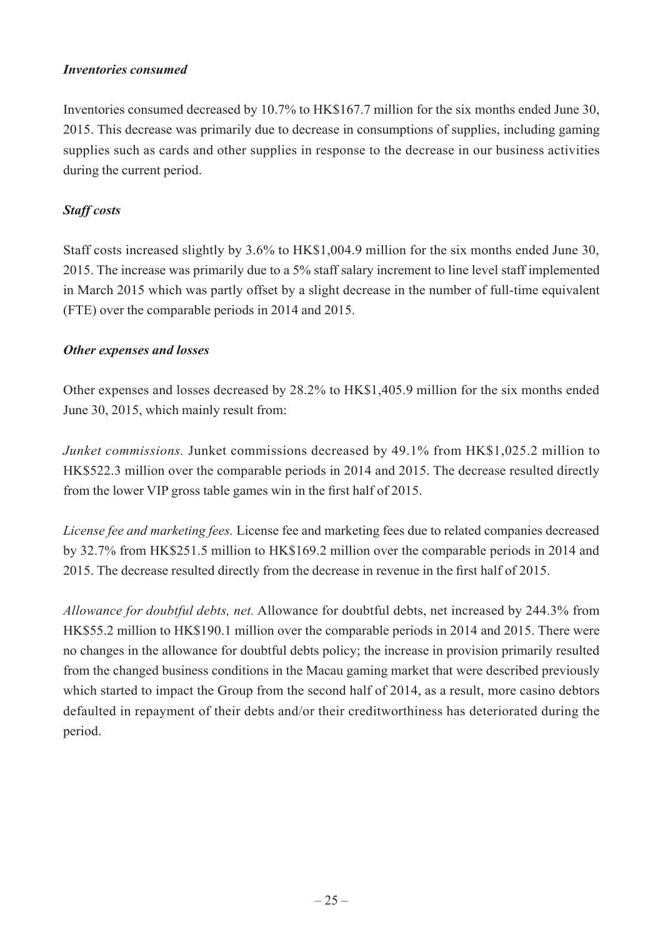#### *Inventories consumed*

Inventories consumed decreased by 10.7% to HK\$167.7 million for the six months ended June 30, 2015. This decrease was primarily due to decrease in consumptions of supplies, including gaming supplies such as cards and other supplies in response to the decrease in our business activities during the current period.

### *Staff costs*

Staff costs increased slightly by 3.6% to HK\$1,004.9 million for the six months ended June 30, 2015. The increase was primarily due to a 5% staff salary increment to line level staff implemented in March 2015 which was partly offset by a slight decrease in the number of full-time equivalent (FTE) over the comparable periods in 2014 and 2015.

#### *Other expenses and losses*

Other expenses and losses decreased by 28.2% to HK\$1,405.9 million for the six months ended June 30, 2015, which mainly result from:

*Junket commissions.* Junket commissions decreased by 49.1% from HK\$1,025.2 million to HK\$522.3 million over the comparable periods in 2014 and 2015. The decrease resulted directly from the lower VIP gross table games win in the first half of 2015.

*License fee and marketing fees.* License fee and marketing fees due to related companies decreased by 32.7% from HK\$251.5 million to HK\$169.2 million over the comparable periods in 2014 and 2015. The decrease resulted directly from the decrease in revenue in the first half of 2015.

*Allowance for doubtful debts, net.* Allowance for doubtful debts, net increased by 244.3% from HK\$55.2 million to HK\$190.1 million over the comparable periods in 2014 and 2015. There were no changes in the allowance for doubtful debts policy; the increase in provision primarily resulted from the changed business conditions in the Macau gaming market that were described previously which started to impact the Group from the second half of 2014, as a result, more casino debtors defaulted in repayment of their debts and/or their creditworthiness has deteriorated during the period.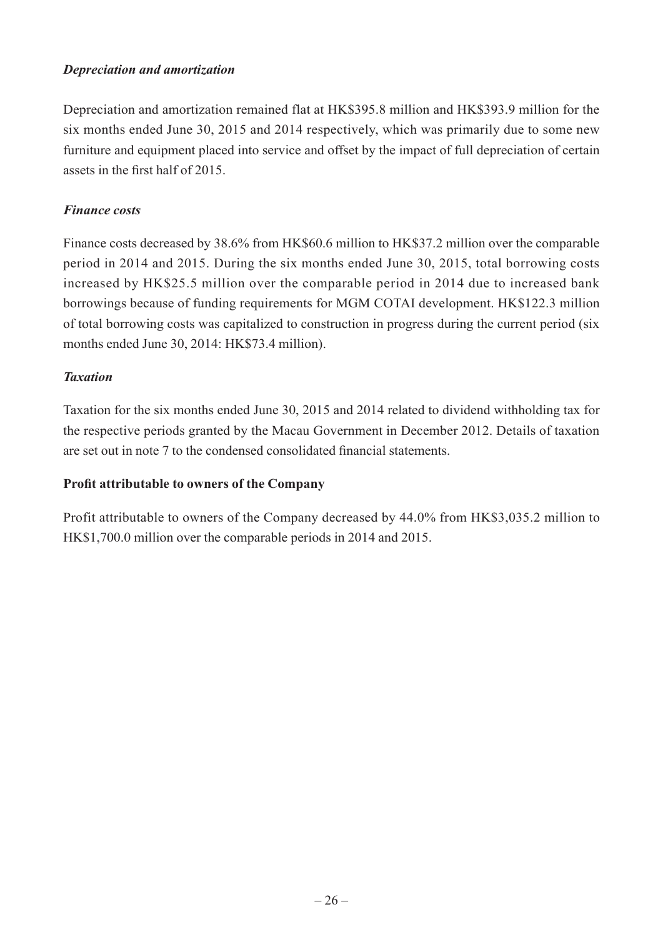#### *Depreciation and amortization*

Depreciation and amortization remained flat at HK\$395.8 million and HK\$393.9 million for the six months ended June 30, 2015 and 2014 respectively, which was primarily due to some new furniture and equipment placed into service and offset by the impact of full depreciation of certain assets in the first half of 2015.

#### *Finance costs*

Finance costs decreased by 38.6% from HK\$60.6 million to HK\$37.2 million over the comparable period in 2014 and 2015. During the six months ended June 30, 2015, total borrowing costs increased by HK\$25.5 million over the comparable period in 2014 due to increased bank borrowings because of funding requirements for MGM COTAI development. HK\$122.3 million of total borrowing costs was capitalized to construction in progress during the current period (six months ended June 30, 2014: HK\$73.4 million).

#### *Taxation*

Taxation for the six months ended June 30, 2015 and 2014 related to dividend withholding tax for the respective periods granted by the Macau Government in December 2012. Details of taxation are set out in note 7 to the condensed consolidated financial statements.

#### **Profit attributable to owners of the Company**

Profit attributable to owners of the Company decreased by 44.0% from HK\$3,035.2 million to HK\$1,700.0 million over the comparable periods in 2014 and 2015.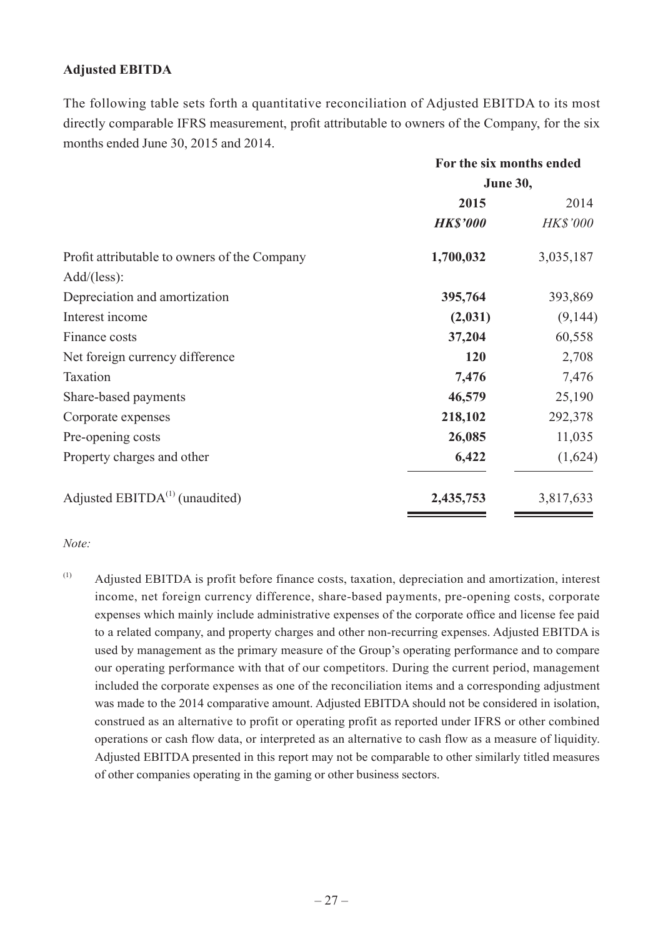### **Adjusted EBITDA**

The following table sets forth a quantitative reconciliation of Adjusted EBITDA to its most directly comparable IFRS measurement, profit attributable to owners of the Company, for the six months ended June 30, 2015 and 2014.

|                                              | For the six months ended |                 |
|----------------------------------------------|--------------------------|-----------------|
|                                              | <b>June 30,</b>          |                 |
|                                              | 2015                     | 2014            |
|                                              | <b>HK\$'000</b>          | <b>HK\$'000</b> |
| Profit attributable to owners of the Company | 1,700,032                | 3,035,187       |
| Add/(less):                                  |                          |                 |
| Depreciation and amortization                | 395,764                  | 393,869         |
| Interest income                              | (2,031)                  | (9,144)         |
| Finance costs                                | 37,204                   | 60,558          |
| Net foreign currency difference              | 120                      | 2,708           |
| Taxation                                     | 7,476                    | 7,476           |
| Share-based payments                         | 46,579                   | 25,190          |
| Corporate expenses                           | 218,102                  | 292,378         |
| Pre-opening costs                            | 26,085                   | 11,035          |
| Property charges and other                   | 6,422                    | (1,624)         |
| Adjusted $EBITDA(1)$ (unaudited)             | 2,435,753                | 3,817,633       |

#### *Note:*

(1) Adjusted EBITDA is profit before finance costs, taxation, depreciation and amortization, interest income, net foreign currency difference, share-based payments, pre-opening costs, corporate expenses which mainly include administrative expenses of the corporate office and license fee paid to a related company, and property charges and other non-recurring expenses. Adjusted EBITDA is used by management as the primary measure of the Group's operating performance and to compare our operating performance with that of our competitors. During the current period, management included the corporate expenses as one of the reconciliation items and a corresponding adjustment was made to the 2014 comparative amount. Adjusted EBITDA should not be considered in isolation, construed as an alternative to profit or operating profit as reported under IFRS or other combined operations or cash flow data, or interpreted as an alternative to cash flow as a measure of liquidity. Adjusted EBITDA presented in this report may not be comparable to other similarly titled measures of other companies operating in the gaming or other business sectors.

<u> Andreas Andrew Andrew Andrew Andrew Andrew Andrew Andrew Andrew Andrew Andrew Andrew Andrew Andrew Andrew Andrew Andrew Andrew Andrew Andrew Andrew Andrew Andrew Andrew Andrew Andrew Andrew Andrew Andrew Andrew Andrew An</u>

<u> Album a shekara ta 1999 na shekara ta 1991 na shekara ta 1991 na shekara ta 1991 na shekara ta 1991 na shekara ta 1991 na shekara ta 1991 na shekara ta 1991 na shekara ta 1991 na shekara ta 1991 na shekara ta 1991 na she</u>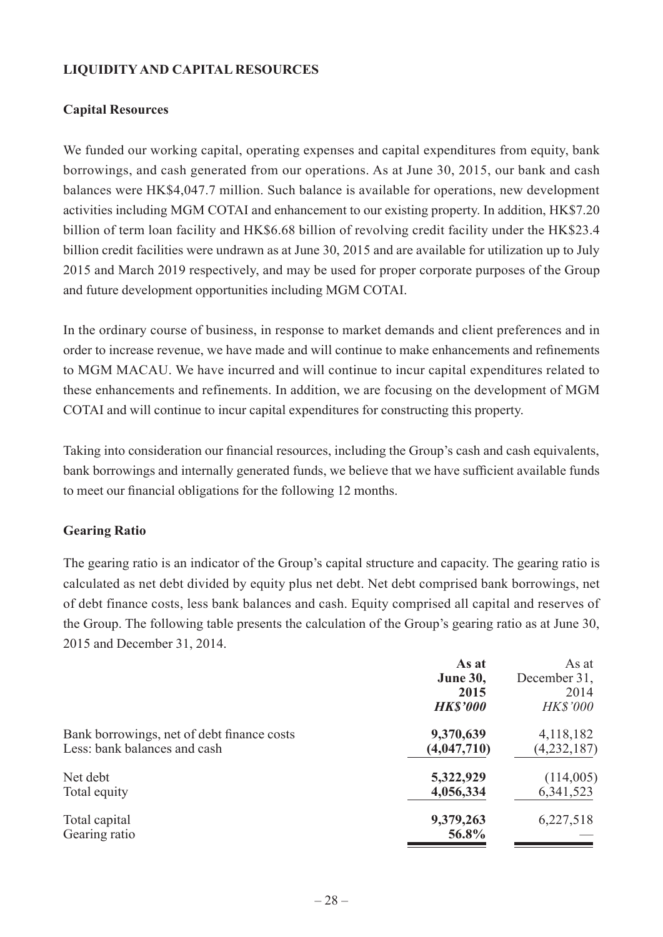### **LIQUIDITY AND CAPITAL RESOURCES**

### **Capital Resources**

We funded our working capital, operating expenses and capital expenditures from equity, bank borrowings, and cash generated from our operations. As at June 30, 2015, our bank and cash balances were HK\$4,047.7 million. Such balance is available for operations, new development activities including MGM COTAI and enhancement to our existing property. In addition, HK\$7.20 billion of term loan facility and HK\$6.68 billion of revolving credit facility under the HK\$23.4 billion credit facilities were undrawn as at June 30, 2015 and are available for utilization up to July 2015 and March 2019 respectively, and may be used for proper corporate purposes of the Group and future development opportunities including MGM COTAI.

In the ordinary course of business, in response to market demands and client preferences and in order to increase revenue, we have made and will continue to make enhancements and refinements to MGM MACAU. We have incurred and will continue to incur capital expenditures related to these enhancements and refinements. In addition, we are focusing on the development of MGM COTAI and will continue to incur capital expenditures for constructing this property.

Taking into consideration our financial resources, including the Group's cash and cash equivalents, bank borrowings and internally generated funds, we believe that we have sufficient available funds to meet our financial obligations for the following 12 months.

#### **Gearing Ratio**

The gearing ratio is an indicator of the Group's capital structure and capacity. The gearing ratio is calculated as net debt divided by equity plus net debt. Net debt comprised bank borrowings, net of debt finance costs, less bank balances and cash. Equity comprised all capital and reserves of the Group. The following table presents the calculation of the Group's gearing ratio as at June 30, 2015 and December 31, 2014.

|                                            | As at<br><b>June 30,</b><br>2015<br><b>HK\$'000</b> | As at<br>December 31,<br>2014<br><b>HK\$'000</b> |
|--------------------------------------------|-----------------------------------------------------|--------------------------------------------------|
| Bank borrowings, net of debt finance costs | 9,370,639                                           | 4,118,182                                        |
| Less: bank balances and cash               | (4,047,710)                                         | (4,232,187)                                      |
| Net debt                                   | 5,322,929                                           | (114,005)                                        |
| Total equity                               | 4,056,334                                           | 6,341,523                                        |
| Total capital<br>Gearing ratio             | 9,379,263<br>56.8%                                  | 6,227,518                                        |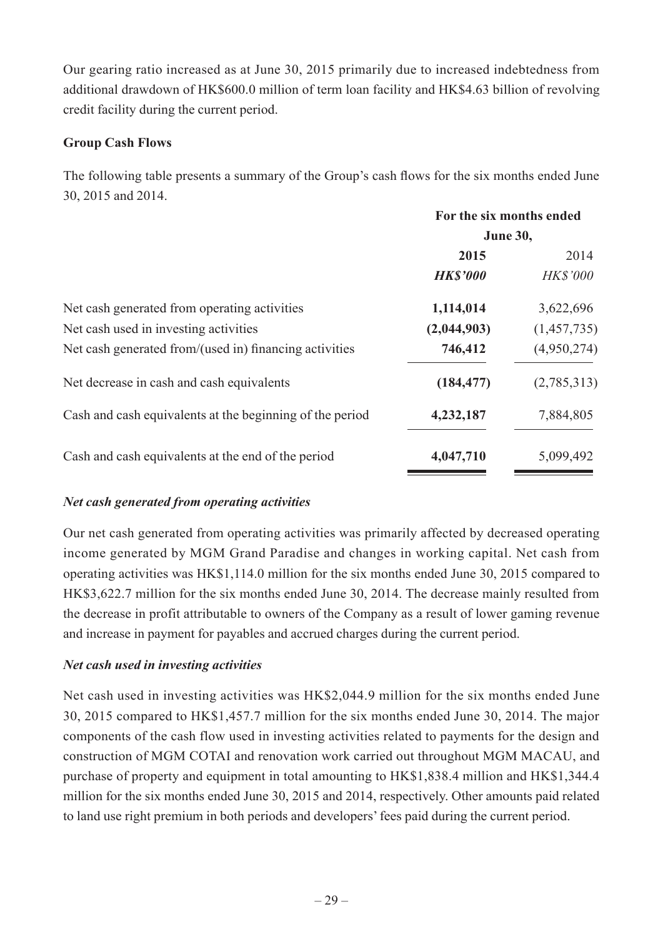Our gearing ratio increased as at June 30, 2015 primarily due to increased indebtedness from additional drawdown of HK\$600.0 million of term loan facility and HK\$4.63 billion of revolving credit facility during the current period.

## **Group Cash Flows**

The following table presents a summary of the Group's cash flows for the six months ended June 30, 2015 and 2014.

|                                                          | For the six months ended |                 |
|----------------------------------------------------------|--------------------------|-----------------|
|                                                          | <b>June 30,</b>          |                 |
|                                                          | 2015                     | 2014            |
|                                                          | <b>HK\$'000</b>          | <b>HK\$'000</b> |
| Net cash generated from operating activities             | 1,114,014                | 3,622,696       |
| Net cash used in investing activities                    | (2,044,903)              | (1,457,735)     |
| Net cash generated from/(used in) financing activities   | 746,412                  | (4,950,274)     |
| Net decrease in cash and cash equivalents                | (184, 477)               | (2,785,313)     |
| Cash and cash equivalents at the beginning of the period | 4,232,187                | 7,884,805       |
| Cash and cash equivalents at the end of the period       | 4,047,710                | 5,099,492       |
|                                                          |                          |                 |

## *Net cash generated from operating activities*

Our net cash generated from operating activities was primarily affected by decreased operating income generated by MGM Grand Paradise and changes in working capital. Net cash from operating activities was HK\$1,114.0 million for the six months ended June 30, 2015 compared to HK\$3,622.7 million for the six months ended June 30, 2014. The decrease mainly resulted from the decrease in profit attributable to owners of the Company as a result of lower gaming revenue and increase in payment for payables and accrued charges during the current period.

## *Net cash used in investing activities*

Net cash used in investing activities was HK\$2,044.9 million for the six months ended June 30, 2015 compared to HK\$1,457.7 million for the six months ended June 30, 2014. The major components of the cash flow used in investing activities related to payments for the design and construction of MGM COTAI and renovation work carried out throughout MGM MACAU, and purchase of property and equipment in total amounting to HK\$1,838.4 million and HK\$1,344.4 million for the six months ended June 30, 2015 and 2014, respectively. Other amounts paid related to land use right premium in both periods and developers' fees paid during the current period.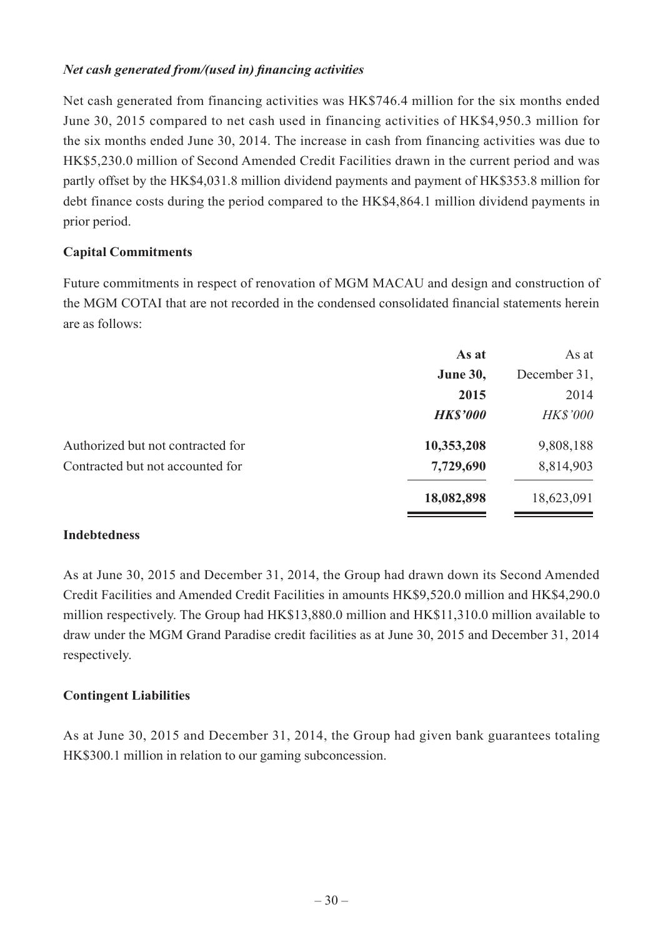### *Net cash generated from/(used in) financing activities*

Net cash generated from financing activities was HK\$746.4 million for the six months ended June 30, 2015 compared to net cash used in financing activities of HK\$4,950.3 million for the six months ended June 30, 2014. The increase in cash from financing activities was due to HK\$5,230.0 million of Second Amended Credit Facilities drawn in the current period and was partly offset by the HK\$4,031.8 million dividend payments and payment of HK\$353.8 million for debt finance costs during the period compared to the HK\$4,864.1 million dividend payments in prior period.

## **Capital Commitments**

Future commitments in respect of renovation of MGM MACAU and design and construction of the MGM COTAI that are not recorded in the condensed consolidated financial statements herein are as follows:

| As at           | As at           |
|-----------------|-----------------|
| <b>June 30,</b> | December 31,    |
| 2015            | 2014            |
| <b>HK\$'000</b> | <b>HK\$'000</b> |
| 10,353,208      | 9,808,188       |
| 7,729,690       | 8,814,903       |
| 18,082,898      | 18,623,091      |
|                 |                 |

### **Indebtedness**

As at June 30, 2015 and December 31, 2014, the Group had drawn down its Second Amended Credit Facilities and Amended Credit Facilities in amounts HK\$9,520.0 million and HK\$4,290.0 million respectively. The Group had HK\$13,880.0 million and HK\$11,310.0 million available to draw under the MGM Grand Paradise credit facilities as at June 30, 2015 and December 31, 2014 respectively.

### **Contingent Liabilities**

As at June 30, 2015 and December 31, 2014, the Group had given bank guarantees totaling HK\$300.1 million in relation to our gaming subconcession.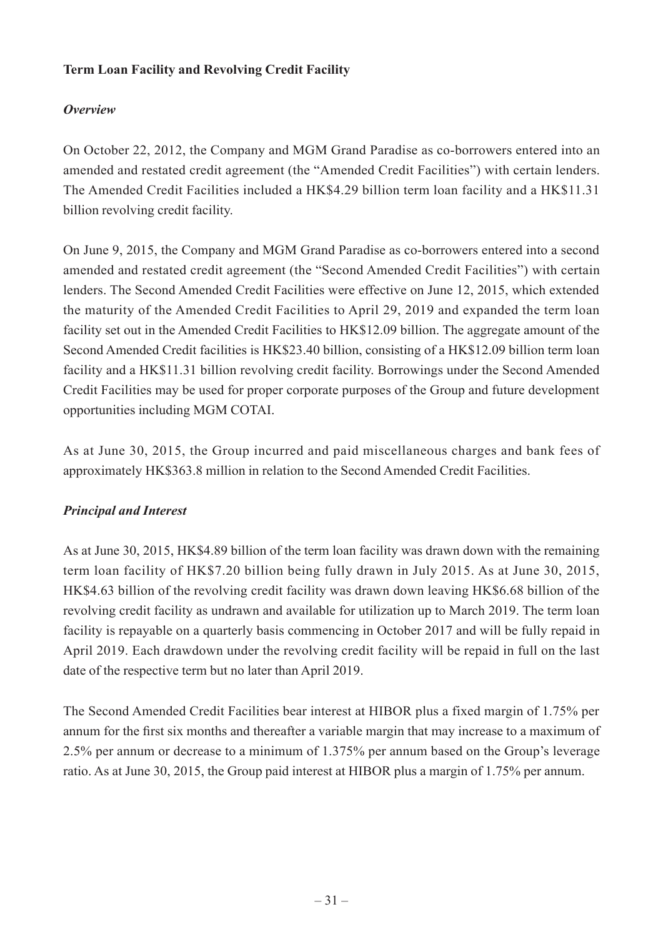## **Term Loan Facility and Revolving Credit Facility**

## *Overview*

On October 22, 2012, the Company and MGM Grand Paradise as co-borrowers entered into an amended and restated credit agreement (the "Amended Credit Facilities") with certain lenders. The Amended Credit Facilities included a HK\$4.29 billion term loan facility and a HK\$11.31 billion revolving credit facility.

On June 9, 2015, the Company and MGM Grand Paradise as co-borrowers entered into a second amended and restated credit agreement (the "Second Amended Credit Facilities") with certain lenders. The Second Amended Credit Facilities were effective on June 12, 2015, which extended the maturity of the Amended Credit Facilities to April 29, 2019 and expanded the term loan facility set out in the Amended Credit Facilities to HK\$12.09 billion. The aggregate amount of the Second Amended Credit facilities is HK\$23.40 billion, consisting of a HK\$12.09 billion term loan facility and a HK\$11.31 billion revolving credit facility. Borrowings under the Second Amended Credit Facilities may be used for proper corporate purposes of the Group and future development opportunities including MGM COTAI.

As at June 30, 2015, the Group incurred and paid miscellaneous charges and bank fees of approximately HK\$363.8 million in relation to the Second Amended Credit Facilities.

## *Principal and Interest*

As at June 30, 2015, HK\$4.89 billion of the term loan facility was drawn down with the remaining term loan facility of HK\$7.20 billion being fully drawn in July 2015. As at June 30, 2015, HK\$4.63 billion of the revolving credit facility was drawn down leaving HK\$6.68 billion of the revolving credit facility as undrawn and available for utilization up to March 2019. The term loan facility is repayable on a quarterly basis commencing in October 2017 and will be fully repaid in April 2019. Each drawdown under the revolving credit facility will be repaid in full on the last date of the respective term but no later than April 2019.

The Second Amended Credit Facilities bear interest at HIBOR plus a fixed margin of 1.75% per annum for the first six months and thereafter a variable margin that may increase to a maximum of 2.5% per annum or decrease to a minimum of 1.375% per annum based on the Group's leverage ratio. As at June 30, 2015, the Group paid interest at HIBOR plus a margin of 1.75% per annum.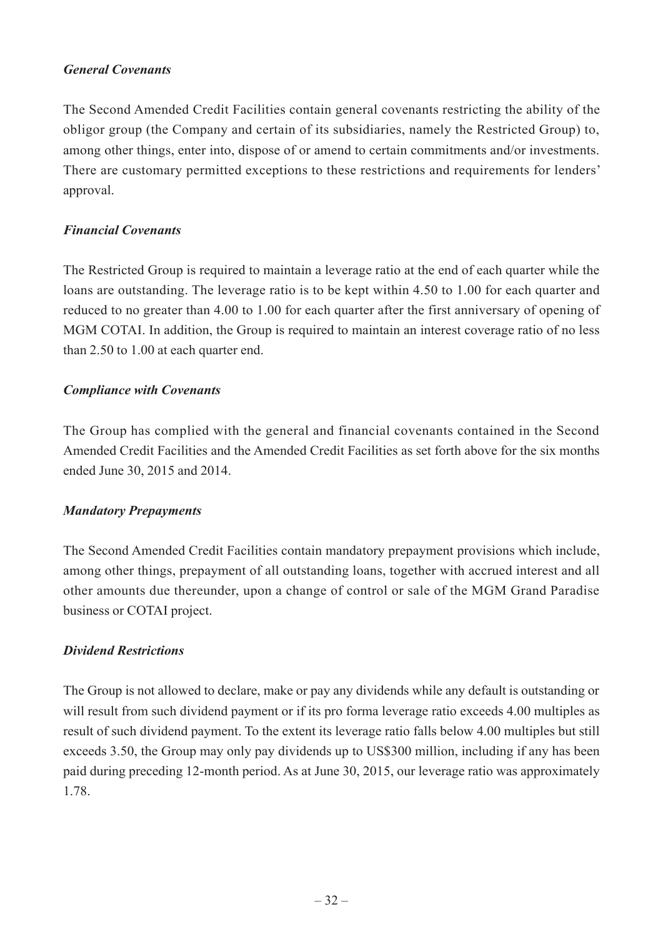#### *General Covenants*

The Second Amended Credit Facilities contain general covenants restricting the ability of the obligor group (the Company and certain of its subsidiaries, namely the Restricted Group) to, among other things, enter into, dispose of or amend to certain commitments and/or investments. There are customary permitted exceptions to these restrictions and requirements for lenders' approval.

#### *Financial Covenants*

The Restricted Group is required to maintain a leverage ratio at the end of each quarter while the loans are outstanding. The leverage ratio is to be kept within 4.50 to 1.00 for each quarter and reduced to no greater than 4.00 to 1.00 for each quarter after the first anniversary of opening of MGM COTAI. In addition, the Group is required to maintain an interest coverage ratio of no less than 2.50 to 1.00 at each quarter end.

#### *Compliance with Covenants*

The Group has complied with the general and financial covenants contained in the Second Amended Credit Facilities and the Amended Credit Facilities as set forth above for the six months ended June 30, 2015 and 2014.

#### *Mandatory Prepayments*

The Second Amended Credit Facilities contain mandatory prepayment provisions which include, among other things, prepayment of all outstanding loans, together with accrued interest and all other amounts due thereunder, upon a change of control or sale of the MGM Grand Paradise business or COTAI project.

#### *Dividend Restrictions*

The Group is not allowed to declare, make or pay any dividends while any default is outstanding or will result from such dividend payment or if its pro forma leverage ratio exceeds 4.00 multiples as result of such dividend payment. To the extent its leverage ratio falls below 4.00 multiples but still exceeds 3.50, the Group may only pay dividends up to US\$300 million, including if any has been paid during preceding 12-month period. As at June 30, 2015, our leverage ratio was approximately 1.78.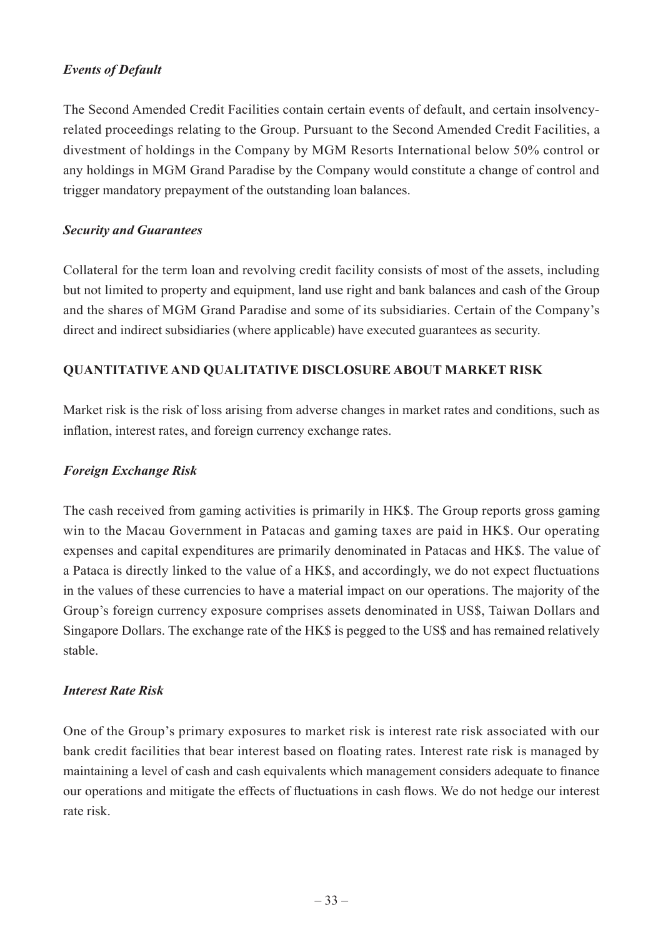### *Events of Default*

The Second Amended Credit Facilities contain certain events of default, and certain insolvencyrelated proceedings relating to the Group. Pursuant to the Second Amended Credit Facilities, a divestment of holdings in the Company by MGM Resorts International below 50% control or any holdings in MGM Grand Paradise by the Company would constitute a change of control and trigger mandatory prepayment of the outstanding loan balances.

### *Security and Guarantees*

Collateral for the term loan and revolving credit facility consists of most of the assets, including but not limited to property and equipment, land use right and bank balances and cash of the Group and the shares of MGM Grand Paradise and some of its subsidiaries. Certain of the Company's direct and indirect subsidiaries (where applicable) have executed guarantees as security.

### **QUANTITATIVE AND QUALITATIVE DISCLOSURE ABOUT MARKET RISK**

Market risk is the risk of loss arising from adverse changes in market rates and conditions, such as inflation, interest rates, and foreign currency exchange rates.

#### *Foreign Exchange Risk*

The cash received from gaming activities is primarily in HK\$. The Group reports gross gaming win to the Macau Government in Patacas and gaming taxes are paid in HK\$. Our operating expenses and capital expenditures are primarily denominated in Patacas and HK\$. The value of a Pataca is directly linked to the value of a HK\$, and accordingly, we do not expect fluctuations in the values of these currencies to have a material impact on our operations. The majority of the Group's foreign currency exposure comprises assets denominated in US\$, Taiwan Dollars and Singapore Dollars. The exchange rate of the HK\$ is pegged to the US\$ and has remained relatively stable.

#### *Interest Rate Risk*

One of the Group's primary exposures to market risk is interest rate risk associated with our bank credit facilities that bear interest based on floating rates. Interest rate risk is managed by maintaining a level of cash and cash equivalents which management considers adequate to finance our operations and mitigate the effects of fluctuations in cash flows. We do not hedge our interest rate risk.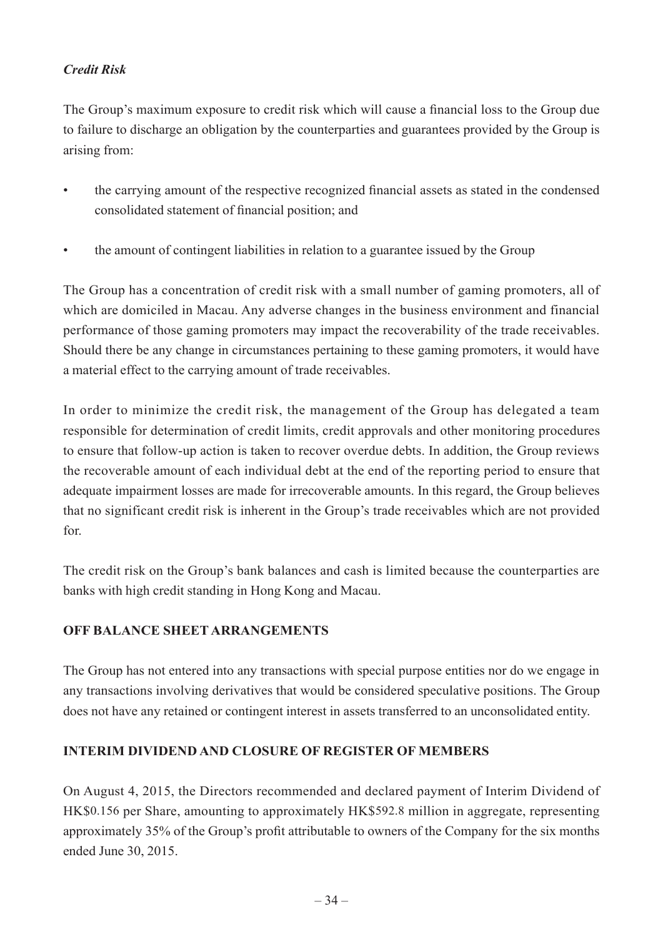## *Credit Risk*

The Group's maximum exposure to credit risk which will cause a financial loss to the Group due to failure to discharge an obligation by the counterparties and guarantees provided by the Group is arising from:

- the carrying amount of the respective recognized financial assets as stated in the condensed consolidated statement of financial position; and
- the amount of contingent liabilities in relation to a guarantee issued by the Group

The Group has a concentration of credit risk with a small number of gaming promoters, all of which are domiciled in Macau. Any adverse changes in the business environment and financial performance of those gaming promoters may impact the recoverability of the trade receivables. Should there be any change in circumstances pertaining to these gaming promoters, it would have a material effect to the carrying amount of trade receivables.

In order to minimize the credit risk, the management of the Group has delegated a team responsible for determination of credit limits, credit approvals and other monitoring procedures to ensure that follow-up action is taken to recover overdue debts. In addition, the Group reviews the recoverable amount of each individual debt at the end of the reporting period to ensure that adequate impairment losses are made for irrecoverable amounts. In this regard, the Group believes that no significant credit risk is inherent in the Group's trade receivables which are not provided for.

The credit risk on the Group's bank balances and cash is limited because the counterparties are banks with high credit standing in Hong Kong and Macau.

### **OFF BALANCE SHEET ARRANGEMENTS**

The Group has not entered into any transactions with special purpose entities nor do we engage in any transactions involving derivatives that would be considered speculative positions. The Group does not have any retained or contingent interest in assets transferred to an unconsolidated entity.

### **INTERIM DIVIDEND AND CLOSURE OF REGISTER OF MEMBERS**

On August 4, 2015, the Directors recommended and declared payment of Interim Dividend of HK\$0.156 per Share, amounting to approximately HK\$592.8 million in aggregate, representing approximately 35% of the Group's profit attributable to owners of the Company for the six months ended June 30, 2015.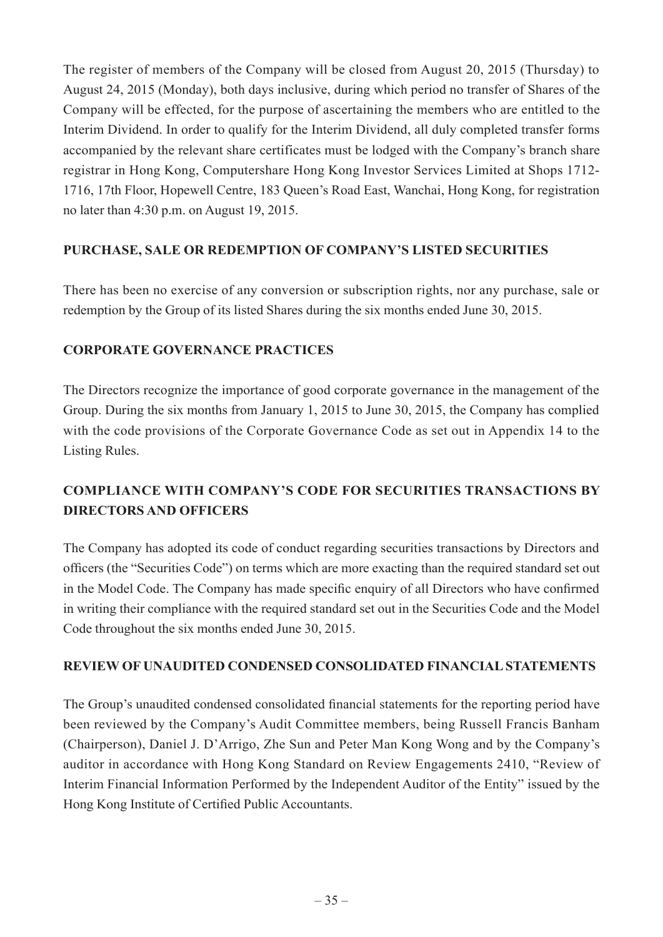The register of members of the Company will be closed from August 20, 2015 (Thursday) to August 24, 2015 (Monday), both days inclusive, during which period no transfer of Shares of the Company will be effected, for the purpose of ascertaining the members who are entitled to the Interim Dividend. In order to qualify for the Interim Dividend, all duly completed transfer forms accompanied by the relevant share certificates must be lodged with the Company's branch share registrar in Hong Kong, Computershare Hong Kong Investor Services Limited at Shops 1712- 1716, 17th Floor, Hopewell Centre, 183 Queen's Road East, Wanchai, Hong Kong, for registration no later than 4:30 p.m. on August 19, 2015.

## **PURCHASE, SALE OR REDEMPTION OF COMPANY'S LISTED SECURITIES**

There has been no exercise of any conversion or subscription rights, nor any purchase, sale or redemption by the Group of its listed Shares during the six months ended June 30, 2015.

## **CORPORATE GOVERNANCE PRACTICES**

The Directors recognize the importance of good corporate governance in the management of the Group. During the six months from January 1, 2015 to June 30, 2015, the Company has complied with the code provisions of the Corporate Governance Code as set out in Appendix 14 to the Listing Rules.

## **COMPLIANCE WITH COMPANY'S CODE FOR SECURITIES TRANSACTIONS BY DIRECTORS AND OFFICERS**

The Company has adopted its code of conduct regarding securities transactions by Directors and officers (the "Securities Code") on terms which are more exacting than the required standard set out in the Model Code. The Company has made specific enquiry of all Directors who have confirmed in writing their compliance with the required standard set out in the Securities Code and the Model Code throughout the six months ended June 30, 2015.

### **REVIEW OF UNAUDITED CONDENSED CONSOLIDATED FINANCIAL STATEMENTS**

The Group's unaudited condensed consolidated financial statements for the reporting period have been reviewed by the Company's Audit Committee members, being Russell Francis Banham (Chairperson), Daniel J. D'Arrigo, Zhe Sun and Peter Man Kong Wong and by the Company's auditor in accordance with Hong Kong Standard on Review Engagements 2410, "Review of Interim Financial Information Performed by the Independent Auditor of the Entity" issued by the Hong Kong Institute of Certified Public Accountants.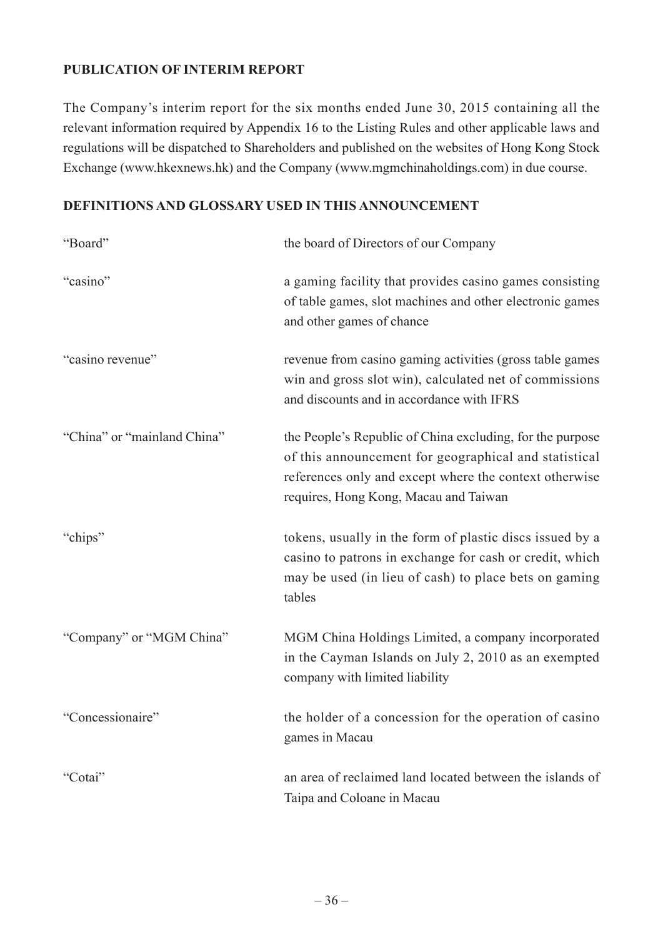## **PUBLICATION OF INTERIM REPORT**

The Company's interim report for the six months ended June 30, 2015 containing all the relevant information required by Appendix 16 to the Listing Rules and other applicable laws and regulations will be dispatched to Shareholders and published on the websites of Hong Kong Stock Exchange (www.hkexnews.hk) and the Company (www.mgmchinaholdings.com) in due course.

### **DEFINITIONS AND GLOSSARY USED IN THIS ANNOUNCEMENT**

| "Board"                     | the board of Directors of our Company                                                                                                                                                                                 |
|-----------------------------|-----------------------------------------------------------------------------------------------------------------------------------------------------------------------------------------------------------------------|
| "casino"                    | a gaming facility that provides casino games consisting<br>of table games, slot machines and other electronic games<br>and other games of chance                                                                      |
| "casino revenue"            | revenue from casino gaming activities (gross table games<br>win and gross slot win), calculated net of commissions<br>and discounts and in accordance with IFRS                                                       |
| "China" or "mainland China" | the People's Republic of China excluding, for the purpose<br>of this announcement for geographical and statistical<br>references only and except where the context otherwise<br>requires, Hong Kong, Macau and Taiwan |
| "chips"                     | tokens, usually in the form of plastic discs issued by a<br>casino to patrons in exchange for cash or credit, which<br>may be used (in lieu of cash) to place bets on gaming<br>tables                                |
| "Company" or "MGM China"    | MGM China Holdings Limited, a company incorporated<br>in the Cayman Islands on July 2, 2010 as an exempted<br>company with limited liability                                                                          |
| "Concessionaire"            | the holder of a concession for the operation of casino<br>games in Macau                                                                                                                                              |
| "Cotai"                     | an area of reclaimed land located between the islands of<br>Taipa and Coloane in Macau                                                                                                                                |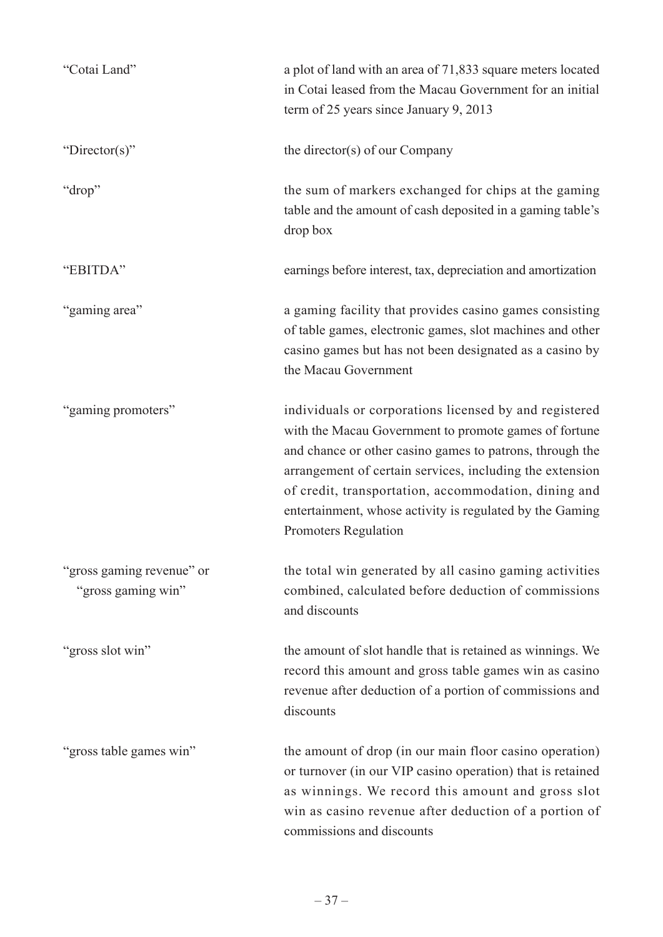| "Cotai Land"                                    | a plot of land with an area of 71,833 square meters located<br>in Cotai leased from the Macau Government for an initial<br>term of 25 years since January 9, 2013                                                                                                                                                                                                                          |
|-------------------------------------------------|--------------------------------------------------------------------------------------------------------------------------------------------------------------------------------------------------------------------------------------------------------------------------------------------------------------------------------------------------------------------------------------------|
| "Director(s)"                                   | the director(s) of our Company                                                                                                                                                                                                                                                                                                                                                             |
| "drop"                                          | the sum of markers exchanged for chips at the gaming<br>table and the amount of cash deposited in a gaming table's<br>drop box                                                                                                                                                                                                                                                             |
| "EBITDA"                                        | earnings before interest, tax, depreciation and amortization                                                                                                                                                                                                                                                                                                                               |
| "gaming area"                                   | a gaming facility that provides casino games consisting<br>of table games, electronic games, slot machines and other<br>casino games but has not been designated as a casino by<br>the Macau Government                                                                                                                                                                                    |
| "gaming promoters"                              | individuals or corporations licensed by and registered<br>with the Macau Government to promote games of fortune<br>and chance or other casino games to patrons, through the<br>arrangement of certain services, including the extension<br>of credit, transportation, accommodation, dining and<br>entertainment, whose activity is regulated by the Gaming<br><b>Promoters Regulation</b> |
| "gross gaming revenue" or<br>"gross gaming win" | the total win generated by all casino gaming activities<br>combined, calculated before deduction of commissions<br>and discounts                                                                                                                                                                                                                                                           |
| "gross slot win"                                | the amount of slot handle that is retained as winnings. We<br>record this amount and gross table games win as casino<br>revenue after deduction of a portion of commissions and<br>discounts                                                                                                                                                                                               |
| "gross table games win"                         | the amount of drop (in our main floor casino operation)<br>or turnover (in our VIP casino operation) that is retained<br>as winnings. We record this amount and gross slot<br>win as casino revenue after deduction of a portion of<br>commissions and discounts                                                                                                                           |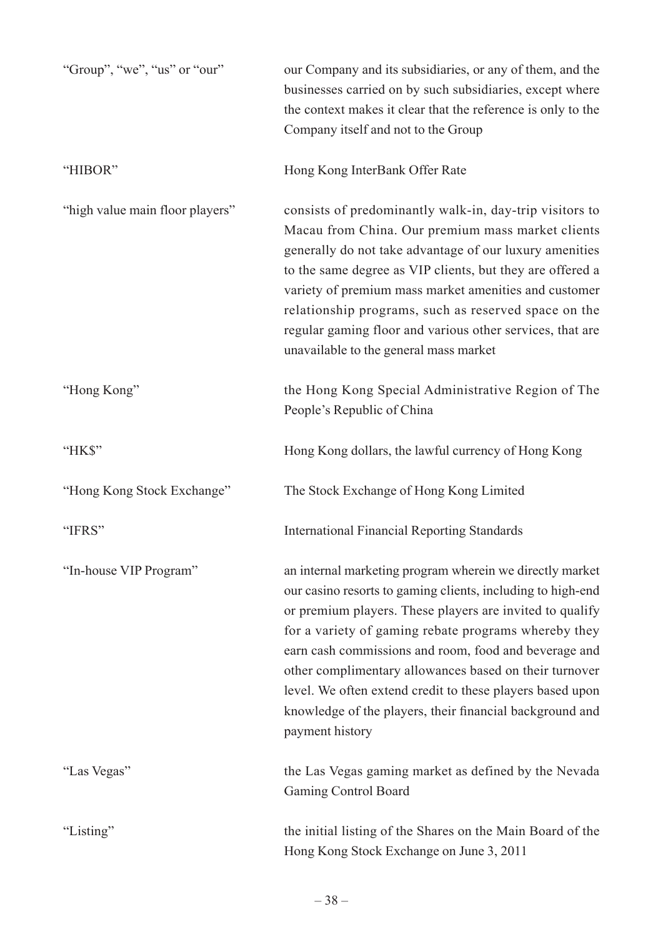| "Group", "we", "us" or "our"    | our Company and its subsidiaries, or any of them, and the<br>businesses carried on by such subsidiaries, except where<br>the context makes it clear that the reference is only to the<br>Company itself and not to the Group                                                                                                                                                                                                                                                                               |
|---------------------------------|------------------------------------------------------------------------------------------------------------------------------------------------------------------------------------------------------------------------------------------------------------------------------------------------------------------------------------------------------------------------------------------------------------------------------------------------------------------------------------------------------------|
| "HIBOR"                         | Hong Kong InterBank Offer Rate                                                                                                                                                                                                                                                                                                                                                                                                                                                                             |
| "high value main floor players" | consists of predominantly walk-in, day-trip visitors to<br>Macau from China. Our premium mass market clients<br>generally do not take advantage of our luxury amenities<br>to the same degree as VIP clients, but they are offered a<br>variety of premium mass market amenities and customer<br>relationship programs, such as reserved space on the<br>regular gaming floor and various other services, that are<br>unavailable to the general mass market                                               |
| "Hong Kong"                     | the Hong Kong Special Administrative Region of The<br>People's Republic of China                                                                                                                                                                                                                                                                                                                                                                                                                           |
| "HK\$"                          | Hong Kong dollars, the lawful currency of Hong Kong                                                                                                                                                                                                                                                                                                                                                                                                                                                        |
| "Hong Kong Stock Exchange"      | The Stock Exchange of Hong Kong Limited                                                                                                                                                                                                                                                                                                                                                                                                                                                                    |
| "IFRS"                          | <b>International Financial Reporting Standards</b>                                                                                                                                                                                                                                                                                                                                                                                                                                                         |
| "In-house VIP Program"          | an internal marketing program wherein we directly market<br>our casino resorts to gaming clients, including to high-end<br>or premium players. These players are invited to qualify<br>for a variety of gaming rebate programs whereby they<br>earn cash commissions and room, food and beverage and<br>other complimentary allowances based on their turnover<br>level. We often extend credit to these players based upon<br>knowledge of the players, their financial background and<br>payment history |
| "Las Vegas"                     | the Las Vegas gaming market as defined by the Nevada<br><b>Gaming Control Board</b>                                                                                                                                                                                                                                                                                                                                                                                                                        |
| "Listing"                       | the initial listing of the Shares on the Main Board of the<br>Hong Kong Stock Exchange on June 3, 2011                                                                                                                                                                                                                                                                                                                                                                                                     |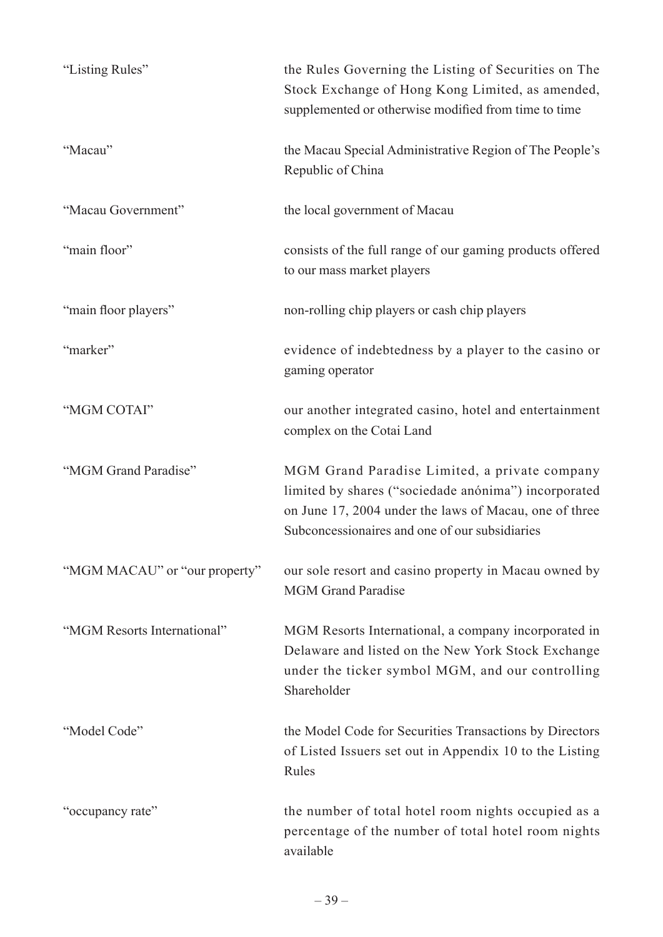| "Listing Rules"               | the Rules Governing the Listing of Securities on The<br>Stock Exchange of Hong Kong Limited, as amended,<br>supplemented or otherwise modified from time to time                                                  |
|-------------------------------|-------------------------------------------------------------------------------------------------------------------------------------------------------------------------------------------------------------------|
| "Macau"                       | the Macau Special Administrative Region of The People's<br>Republic of China                                                                                                                                      |
| "Macau Government"            | the local government of Macau                                                                                                                                                                                     |
| "main floor"                  | consists of the full range of our gaming products offered<br>to our mass market players                                                                                                                           |
| "main floor players"          | non-rolling chip players or cash chip players                                                                                                                                                                     |
| "marker"                      | evidence of indebtedness by a player to the casino or<br>gaming operator                                                                                                                                          |
| "MGM COTAI"                   | our another integrated casino, hotel and entertainment<br>complex on the Cotai Land                                                                                                                               |
| "MGM Grand Paradise"          | MGM Grand Paradise Limited, a private company<br>limited by shares ("sociedade anónima") incorporated<br>on June 17, 2004 under the laws of Macau, one of three<br>Subconcessionaires and one of our subsidiaries |
| "MGM MACAU" or "our property" | our sole resort and casino property in Macau owned by<br><b>MGM Grand Paradise</b>                                                                                                                                |
| "MGM Resorts International"   | MGM Resorts International, a company incorporated in<br>Delaware and listed on the New York Stock Exchange<br>under the ticker symbol MGM, and our controlling<br>Shareholder                                     |
| "Model Code"                  | the Model Code for Securities Transactions by Directors<br>of Listed Issuers set out in Appendix 10 to the Listing<br>Rules                                                                                       |
| "occupancy rate"              | the number of total hotel room nights occupied as a<br>percentage of the number of total hotel room nights<br>available                                                                                           |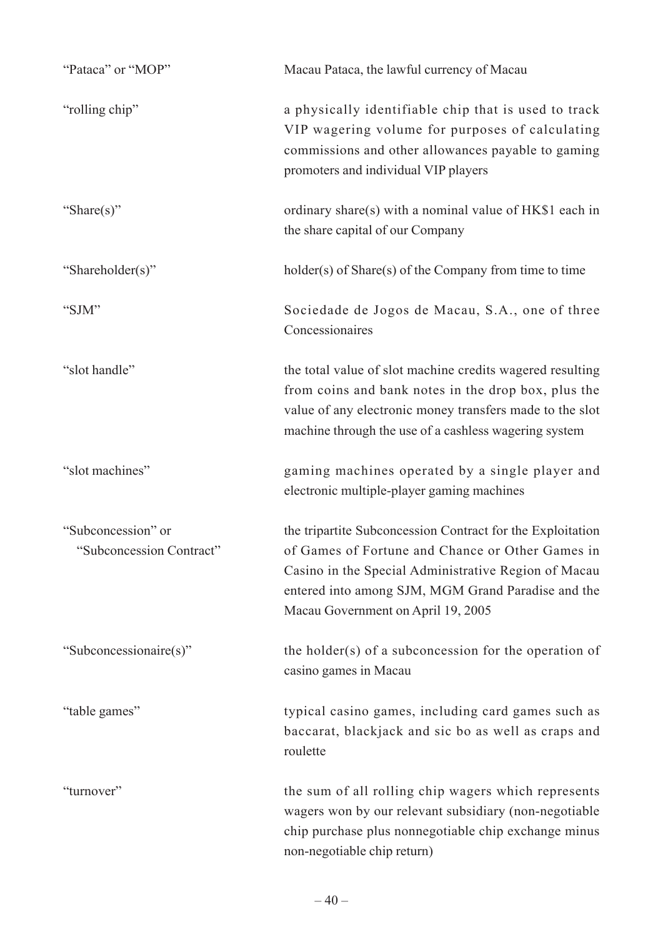| "Pataca" or "MOP"                              | Macau Pataca, the lawful currency of Macau                                                                                                                                                                                                                         |
|------------------------------------------------|--------------------------------------------------------------------------------------------------------------------------------------------------------------------------------------------------------------------------------------------------------------------|
| "rolling chip"                                 | a physically identifiable chip that is used to track<br>VIP wagering volume for purposes of calculating<br>commissions and other allowances payable to gaming<br>promoters and individual VIP players                                                              |
| "Share $(s)$ "                                 | ordinary share(s) with a nominal value of HK\$1 each in<br>the share capital of our Company                                                                                                                                                                        |
| "Shareholder(s)"                               | holder(s) of Share(s) of the Company from time to time                                                                                                                                                                                                             |
| "SJM"                                          | Sociedade de Jogos de Macau, S.A., one of three<br>Concessionaires                                                                                                                                                                                                 |
| "slot handle"                                  | the total value of slot machine credits wagered resulting<br>from coins and bank notes in the drop box, plus the<br>value of any electronic money transfers made to the slot<br>machine through the use of a cashless wagering system                              |
| "slot machines"                                | gaming machines operated by a single player and<br>electronic multiple-player gaming machines                                                                                                                                                                      |
| "Subconcession" or<br>"Subconcession Contract" | the tripartite Subconcession Contract for the Exploitation<br>of Games of Fortune and Chance or Other Games in<br>Casino in the Special Administrative Region of Macau<br>entered into among SJM, MGM Grand Paradise and the<br>Macau Government on April 19, 2005 |
| "Subconcessionaire(s)"                         | the holder(s) of a subconcession for the operation of<br>casino games in Macau                                                                                                                                                                                     |
| "table games"                                  | typical casino games, including card games such as<br>baccarat, blackjack and sic bo as well as craps and<br>roulette                                                                                                                                              |
| "turnover"                                     | the sum of all rolling chip wagers which represents<br>wagers won by our relevant subsidiary (non-negotiable<br>chip purchase plus nonnegotiable chip exchange minus<br>non-negotiable chip return)                                                                |